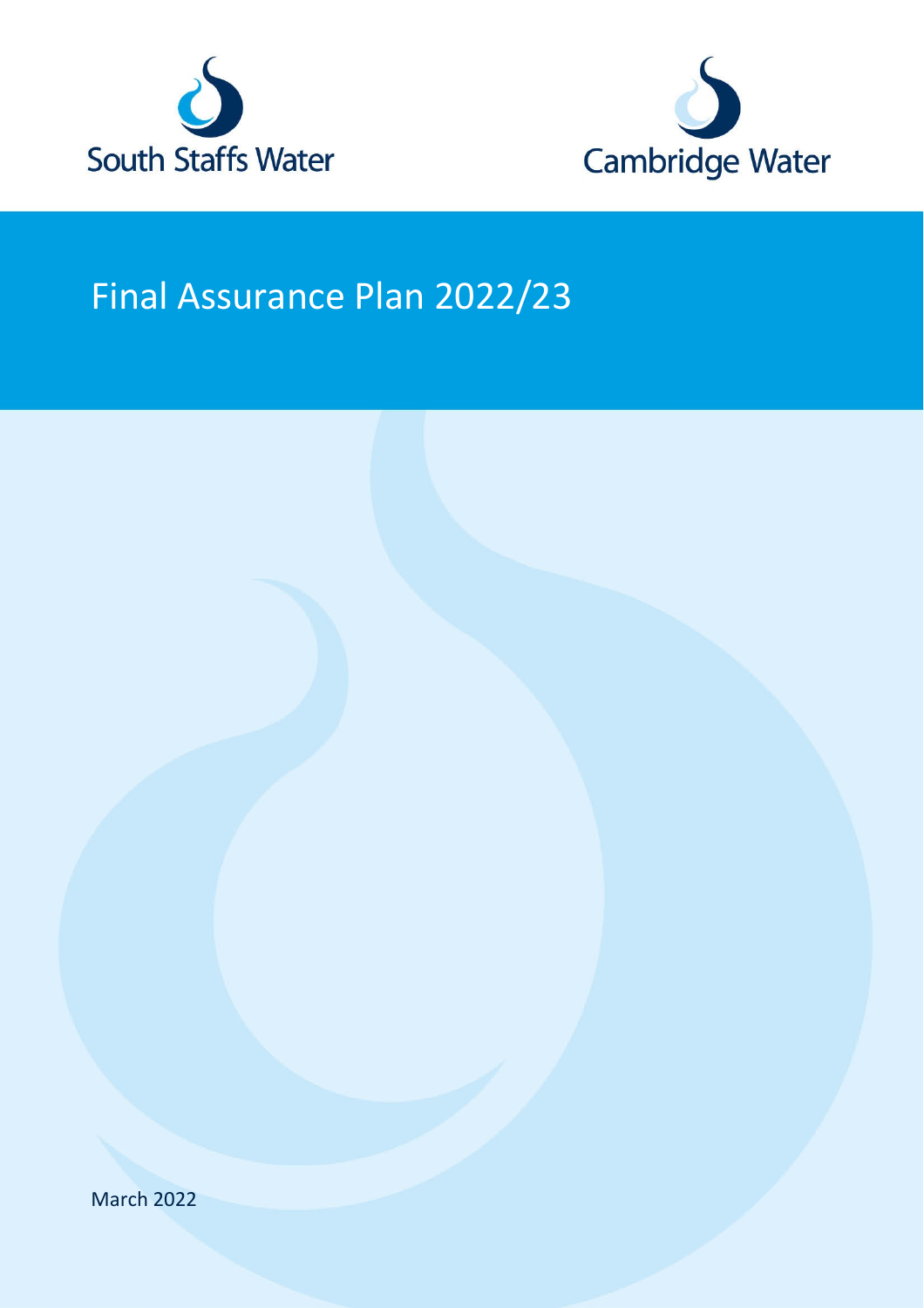



# Final Assurance Plan 2022/23

March 2022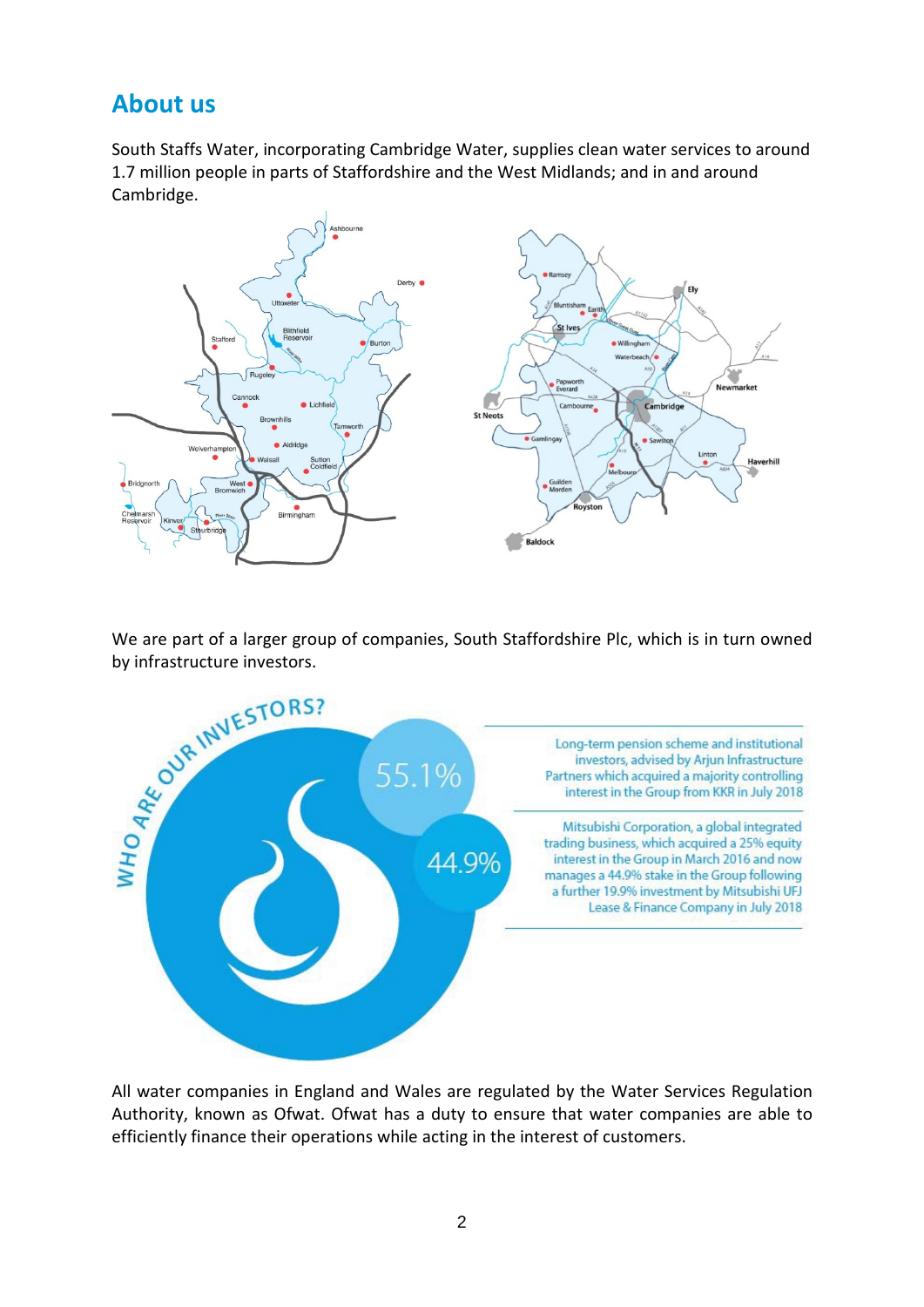### **About us**

South Staffs Water, incorporating Cambridge Water, supplies clean water services to around 1.7 million people in parts of Staffordshire and the West Midlands; and in and around Cambridge.



We are part of a larger group of companies, South Staffordshire Plc, which is in turn owned



All water companies in England and Wales are regulated by the Water Services Regulation Authority, known as Ofwat. Ofwat has a duty to ensure that water companies are able to efficiently finance their operations while acting in the interest of customers.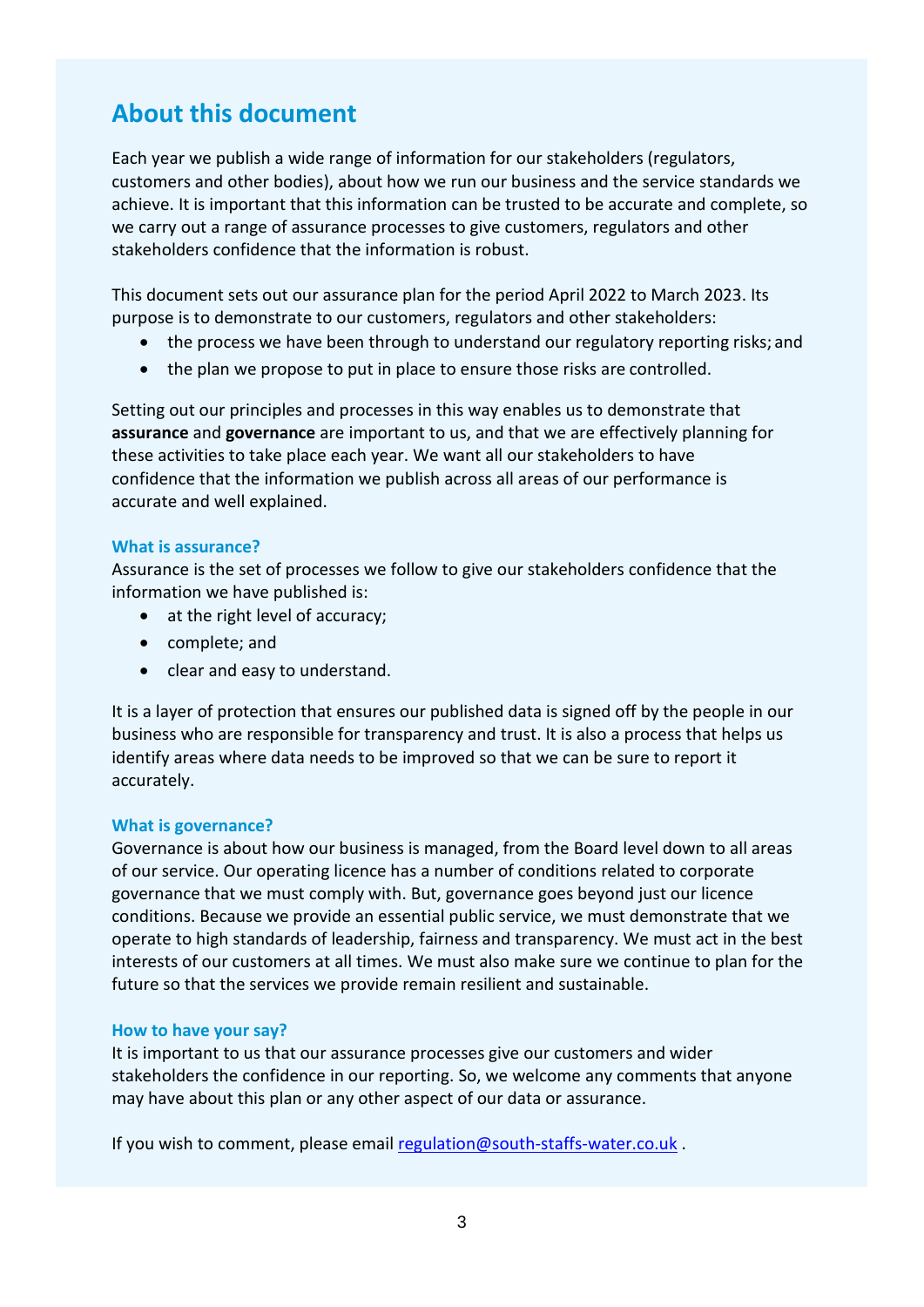### **About this document**

Each year we publish a wide range of information for our stakeholders (regulators, customers and other bodies), about how we run our business and the service standards we achieve. It is important that this information can be trusted to be accurate and complete, so we carry out a range of assurance processes to give customers, regulators and other stakeholders confidence that the information is robust.

This document sets out our assurance plan for the period April 2022 to March 2023. Its purpose is to demonstrate to our customers, regulators and other stakeholders:

- the process we have been through to understand our regulatory reporting risks; and
- the plan we propose to put in place to ensure those risks are controlled.

Setting out our principles and processes in this way enables us to demonstrate that **assurance** and **governance** are important to us, and that we are effectively planning for these activities to take place each year. We want all our stakeholders to have confidence that the information we publish across all areas of our performance is accurate and well explained.

#### **What is assurance?**

Assurance is the set of processes we follow to give our stakeholders confidence that the information we have published is:

- at the right level of accuracy;
- complete; and
- clear and easy to understand.

It is a layer of protection that ensures our published data is signed off by the people in our business who are responsible for transparency and trust. It is also a process that helps us identify areas where data needs to be improved so that we can be sure to report it accurately.

#### **What is governance?**

Governance is about how our business is managed, from the Board level down to all areas of our service. Our operating licence has a number of conditions related to corporate governance that we must comply with. But, governance goes beyond just our licence conditions. Because we provide an essential public service, we must demonstrate that we operate to high standards of leadership, fairness and transparency. We must act in the best interests of our customers at all times. We must also make sure we continue to plan for the future so that the services we provide remain resilient and sustainable.

#### **How to have your say?**

It is important to us that our assurance processes give our customers and wider stakeholders the confidence in our reporting. So, we welcome any comments that anyone may have about this plan or any other aspect of our data or assurance.

If you wish to comment, please email [regulation@south-staffs-water.co.uk](mailto:regulation@south-staffs-water.co.uk).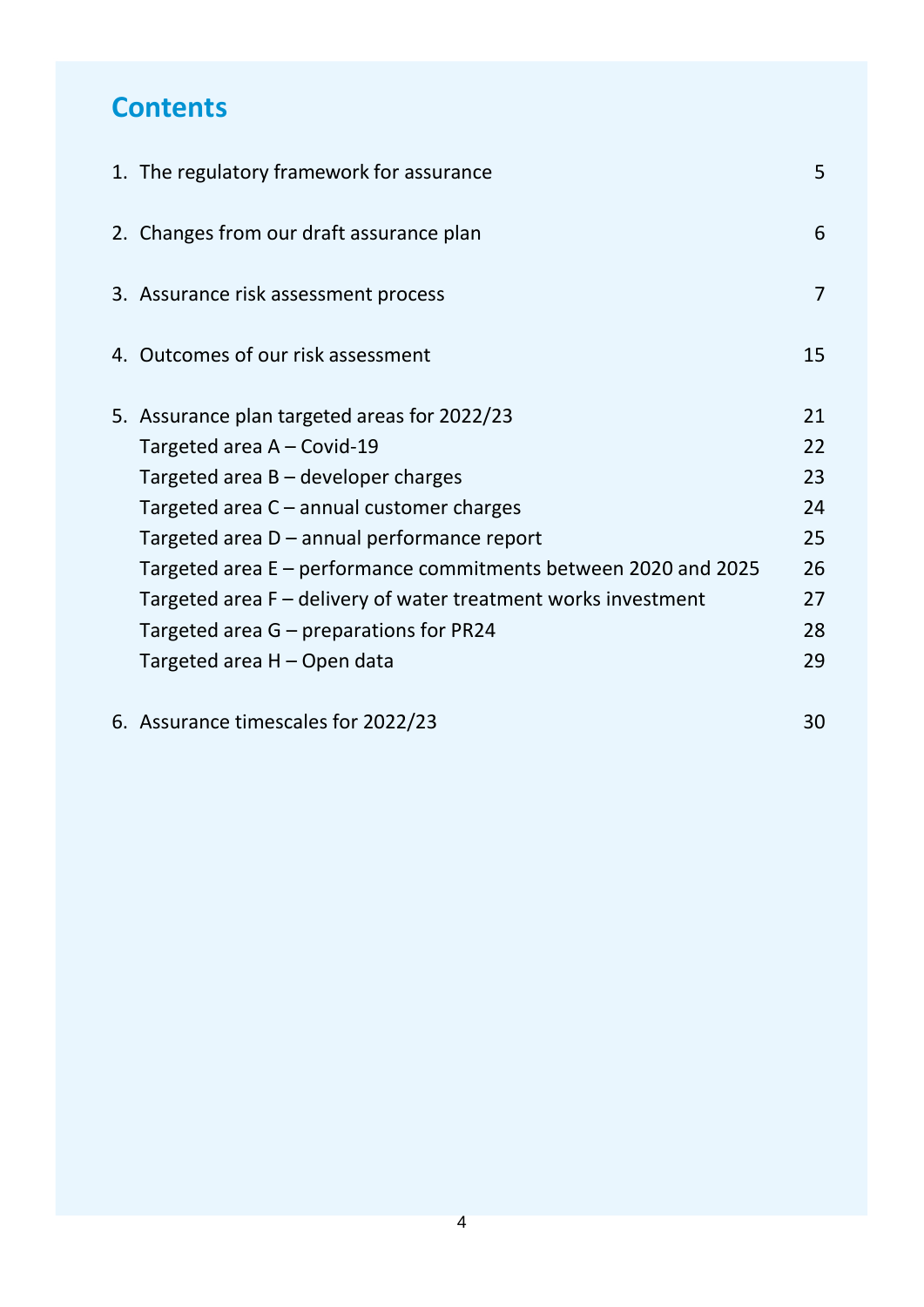# **Contents**

| 1. The regulatory framework for assurance                       | 5              |
|-----------------------------------------------------------------|----------------|
| 2. Changes from our draft assurance plan                        | 6              |
| 3. Assurance risk assessment process                            | $\overline{7}$ |
| 4. Outcomes of our risk assessment                              | 15             |
| 5. Assurance plan targeted areas for 2022/23                    | 21             |
| Targeted area A – Covid-19                                      | 22             |
| Targeted area $B -$ developer charges                           | 23             |
| Targeted area C - annual customer charges                       | 24             |
| Targeted area D – annual performance report                     | 25             |
| Targeted area E – performance commitments between 2020 and 2025 | 26             |
| Targeted area F - delivery of water treatment works investment  | 27             |
| Targeted area $G$ – preparations for PR24                       | 28             |
| Targeted area H - Open data                                     | 29             |
|                                                                 | $\sim$ $\sim$  |

6. [Assurance timescales for](#page-26-0) 2022/23 30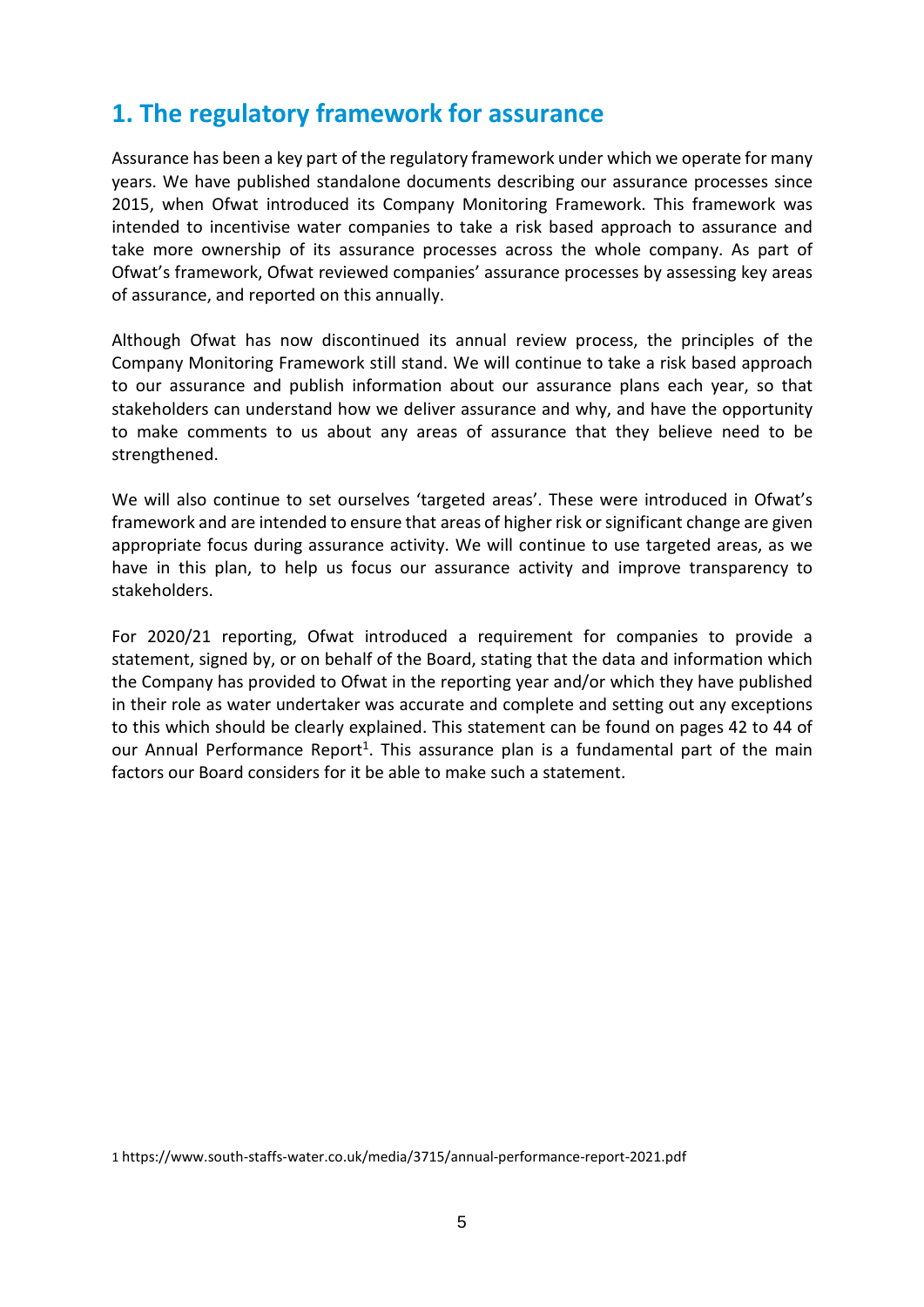### <span id="page-4-0"></span>**1. The regulatory framework for assurance**

Assurance has been a key part of the regulatory framework under which we operate for many years. We have published standalone documents describing our assurance processes since 2015, when Ofwat introduced its Company Monitoring Framework. This framework was intended to incentivise water companies to take a risk based approach to assurance and take more ownership of its assurance processes across the whole company. As part of Ofwat's framework, Ofwat reviewed companies' assurance processes by assessing key areas of assurance, and reported on this annually.

Although Ofwat has now discontinued its annual review process, the principles of the Company Monitoring Framework still stand. We will continue to take a risk based approach to our assurance and publish information about our assurance plans each year, so that stakeholders can understand how we deliver assurance and why, and have the opportunity to make comments to us about any areas of assurance that they believe need to be strengthened.

We will also continue to set ourselves 'targeted areas'. These were introduced in Ofwat's framework and are intended to ensure that areas of higher risk orsignificant change are given appropriate focus during assurance activity. We will continue to use targeted areas, as we have in this plan, to help us focus our assurance activity and improve transparency to stakeholders.

For 2020/21 reporting, Ofwat introduced a requirement for companies to provide a statement, signed by, or on behalf of the Board, stating that the data and information which the Company has provided to Ofwat in the reporting year and/or which they have published in their role as water undertaker was accurate and complete and setting out any exceptions to this which should be clearly explained. This statement can be found on pages 42 to 44 of our Annual Performance Report<sup>1</sup>. This assurance plan is a fundamental part of the main factors our Board considers for it be able to make such a statement.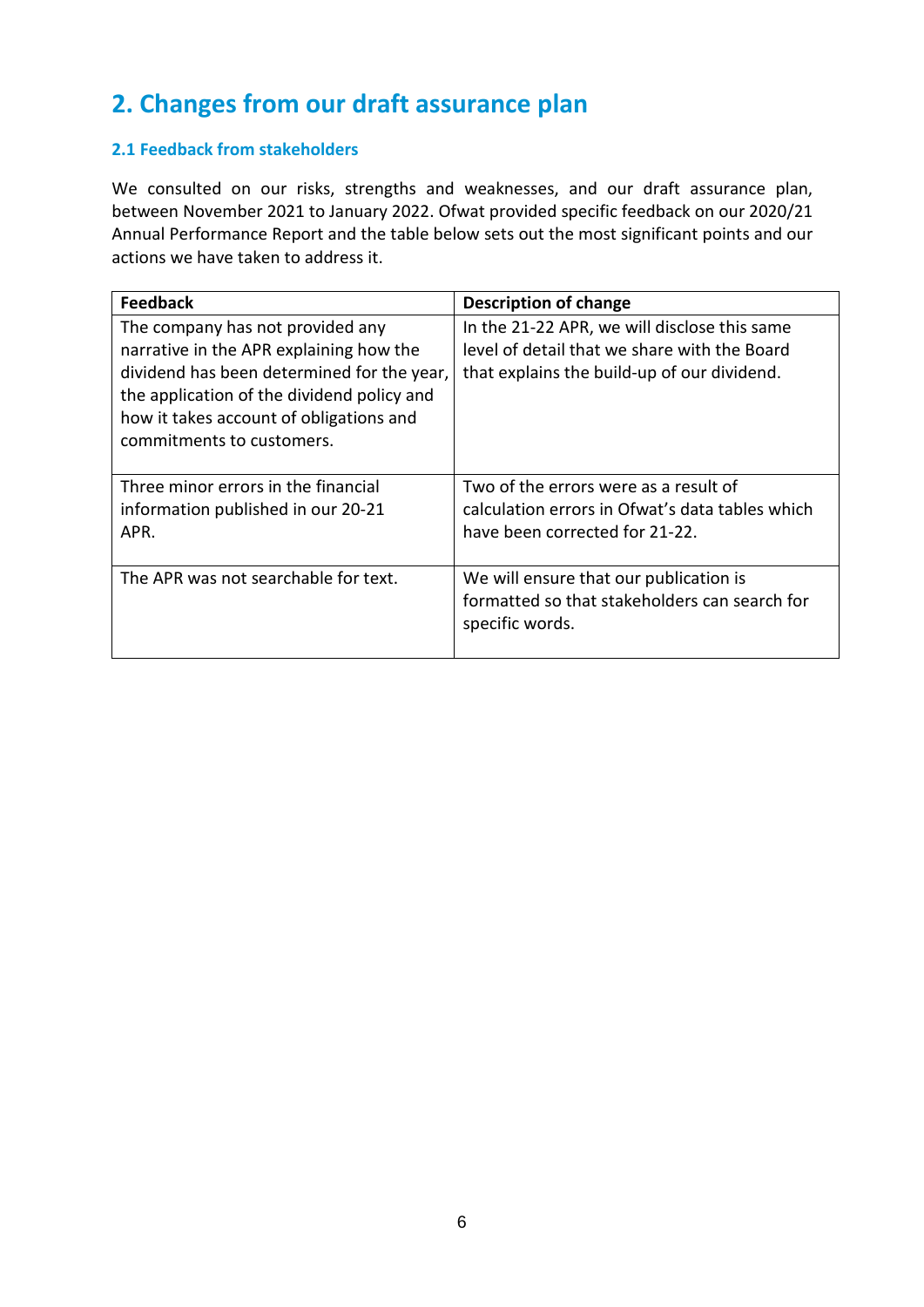# <span id="page-5-0"></span>**2. Changes from our draft assurance plan**

### **2.1 Feedback from stakeholders**

We consulted on our risks, strengths and weaknesses, and our draft assurance plan, between November 2021 to January 2022. Ofwat provided specific feedback on our 2020/21 Annual Performance Report and the table below sets out the most significant points and our actions we have taken to address it.

| <b>Feedback</b>                                                                                                                                                                                                                                 | <b>Description of change</b>                                                                                                                |
|-------------------------------------------------------------------------------------------------------------------------------------------------------------------------------------------------------------------------------------------------|---------------------------------------------------------------------------------------------------------------------------------------------|
| The company has not provided any<br>narrative in the APR explaining how the<br>dividend has been determined for the year,<br>the application of the dividend policy and<br>how it takes account of obligations and<br>commitments to customers. | In the 21-22 APR, we will disclose this same<br>level of detail that we share with the Board<br>that explains the build-up of our dividend. |
| Three minor errors in the financial<br>information published in our 20-21<br>APR.                                                                                                                                                               | Two of the errors were as a result of<br>calculation errors in Ofwat's data tables which<br>have been corrected for 21-22.                  |
| The APR was not searchable for text.                                                                                                                                                                                                            | We will ensure that our publication is<br>formatted so that stakeholders can search for<br>specific words.                                  |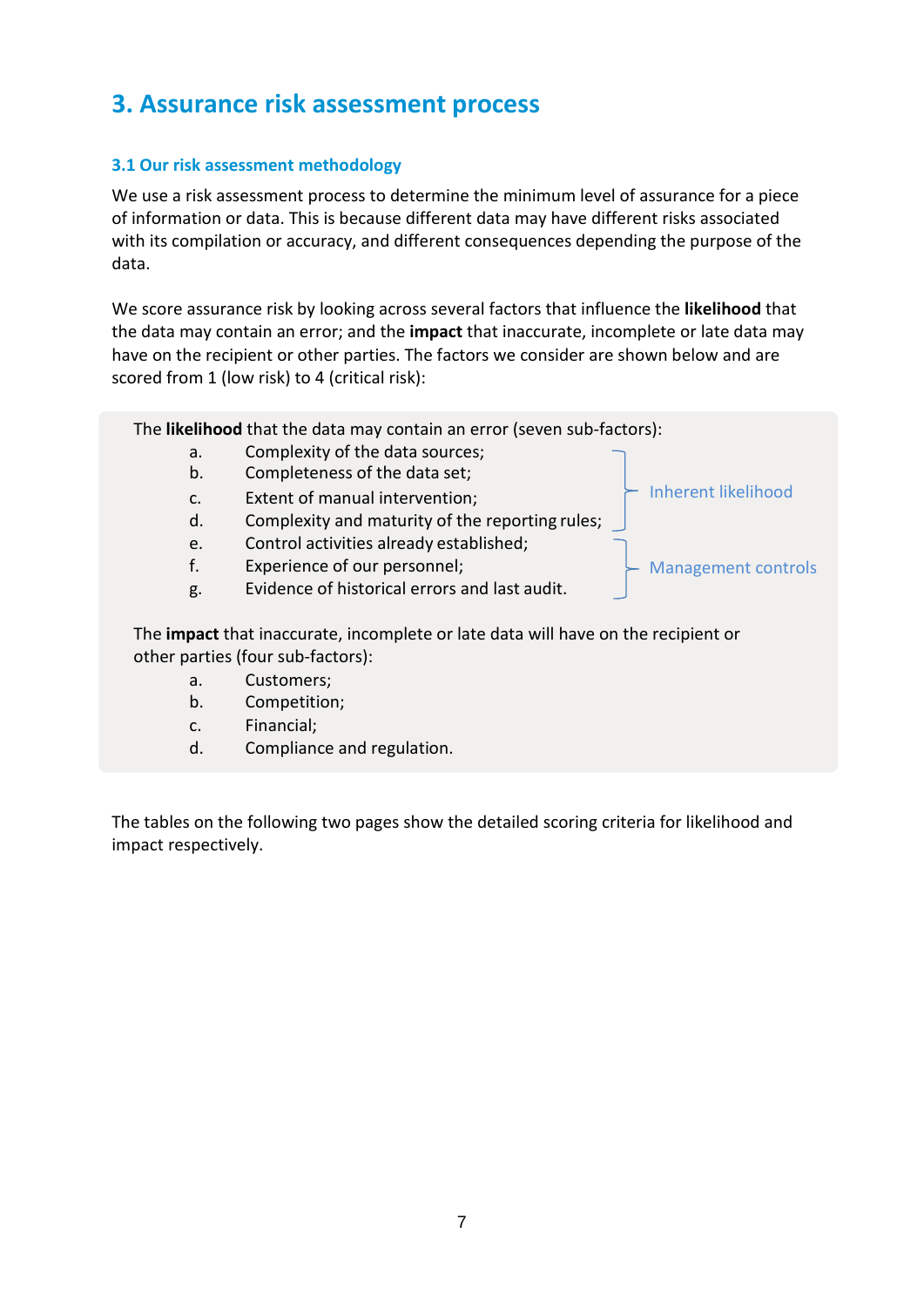### <span id="page-6-0"></span>**3. Assurance risk assessment process**

### **3.1 Our risk assessment methodology**

We use a risk assessment process to determine the minimum level of assurance for a piece of information or data. This is because different data may have different risks associated with its compilation or accuracy, and different consequences depending the purpose of the data.

We score assurance risk by looking across several factors that influence the **likelihood** that the data may contain an error; and the **impact** that inaccurate, incomplete or late data may have on the recipient or other parties. The factors we consider are shown below and are scored from 1 (low risk) to 4 (critical risk):

The **likelihood** that the data may contain an error (seven sub-factors):

- a. Complexity of the data sources;<br>b. Completeness of the data set:
- Completeness of the data set;
- c. Extent of manual intervention;
- d. Complexity and maturity of the reporting rules;
- e. Control activities already established;
- f. Experience of our personnel;
- g. Evidence of historical errors and last audit.

The **impact** that inaccurate, incomplete or late data will have on the recipient or other parties (four sub-factors):

- a. Customers;
- b. Competition;
- c. Financial;
- d. Compliance and regulation.

The tables on the following two pages show the detailed scoring criteria for likelihood and impact respectively.



Management controls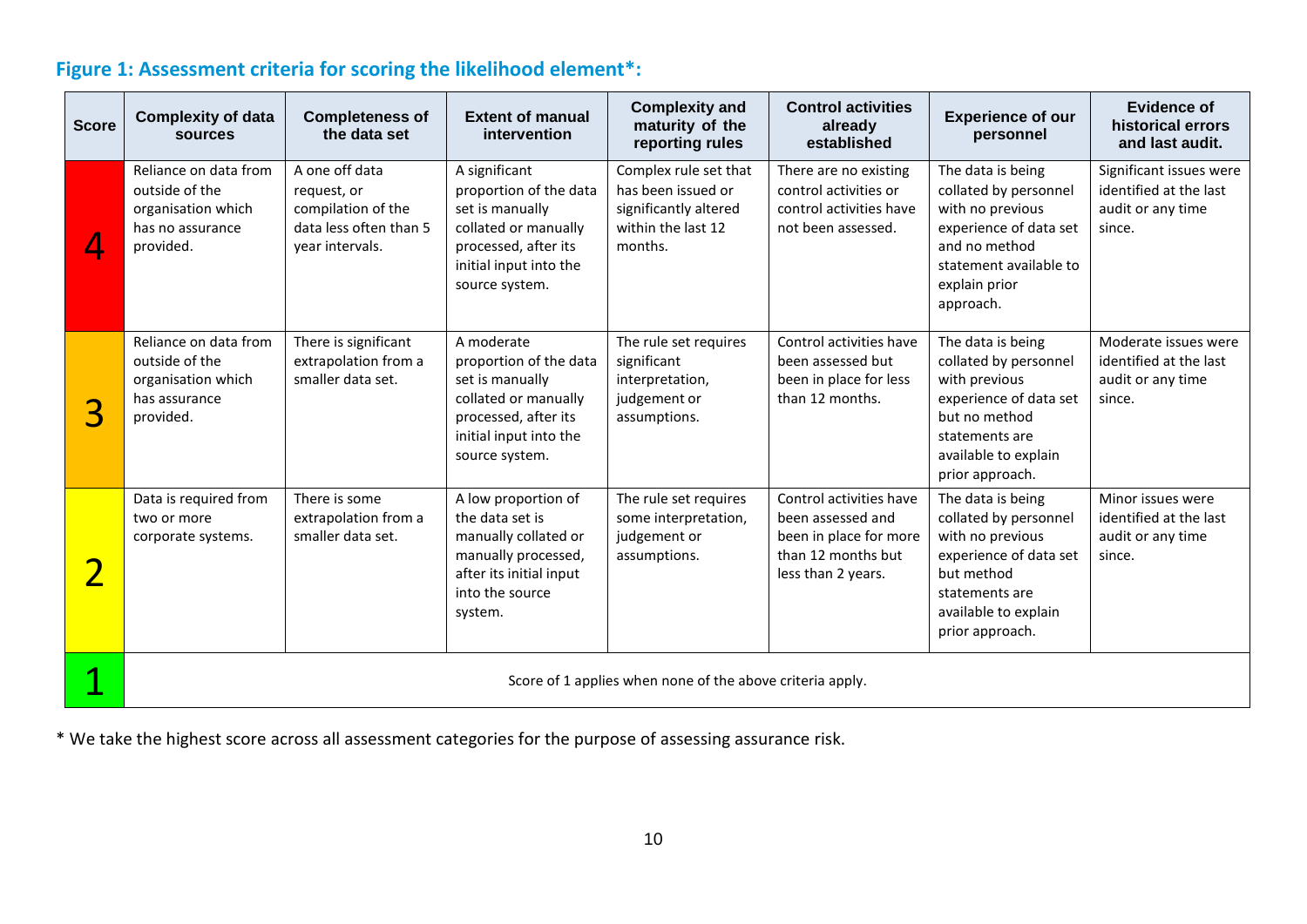### **Figure 1: Assessment criteria for scoring the likelihood element\*:**

| <b>Score</b> | <b>Complexity of data</b><br><b>sources</b>                                                    | <b>Completeness of</b><br>the data set                                                           | <b>Extent of manual</b><br><i>intervention</i>                                                                                                         | <b>Complexity and</b><br>maturity of the<br>reporting rules                                           | <b>Control activities</b><br>already<br>established                                                                | <b>Experience of our</b><br>personnel                                                                                                                               | <b>Evidence of</b><br>historical errors<br>and last audit.                       |
|--------------|------------------------------------------------------------------------------------------------|--------------------------------------------------------------------------------------------------|--------------------------------------------------------------------------------------------------------------------------------------------------------|-------------------------------------------------------------------------------------------------------|--------------------------------------------------------------------------------------------------------------------|---------------------------------------------------------------------------------------------------------------------------------------------------------------------|----------------------------------------------------------------------------------|
|              | Reliance on data from<br>outside of the<br>organisation which<br>has no assurance<br>provided. | A one off data<br>request, or<br>compilation of the<br>data less often than 5<br>year intervals. | A significant<br>proportion of the data<br>set is manually<br>collated or manually<br>processed, after its<br>initial input into the<br>source system. | Complex rule set that<br>has been issued or<br>significantly altered<br>within the last 12<br>months. | There are no existing<br>control activities or<br>control activities have<br>not been assessed.                    | The data is being<br>collated by personnel<br>with no previous<br>experience of data set<br>and no method<br>statement available to<br>explain prior<br>approach.   | Significant issues were<br>identified at the last<br>audit or any time<br>since. |
| 3            | Reliance on data from<br>outside of the<br>organisation which<br>has assurance<br>provided.    | There is significant<br>extrapolation from a<br>smaller data set.                                | A moderate<br>proportion of the data<br>set is manually<br>collated or manually<br>processed, after its<br>initial input into the<br>source system.    | The rule set requires<br>significant<br>interpretation,<br>judgement or<br>assumptions.               | Control activities have<br>been assessed but<br>been in place for less<br>than 12 months.                          | The data is being<br>collated by personnel<br>with previous<br>experience of data set<br>but no method<br>statements are<br>available to explain<br>prior approach. | Moderate issues were<br>identified at the last<br>audit or any time<br>since.    |
|              | Data is required from<br>two or more<br>corporate systems.                                     | There is some<br>extrapolation from a<br>smaller data set.                                       | A low proportion of<br>the data set is<br>manually collated or<br>manually processed,<br>after its initial input<br>into the source<br>system.         | The rule set requires<br>some interpretation,<br>judgement or<br>assumptions.                         | Control activities have<br>been assessed and<br>been in place for more<br>than 12 months but<br>less than 2 years. | The data is being<br>collated by personnel<br>with no previous<br>experience of data set<br>but method<br>statements are<br>available to explain<br>prior approach. | Minor issues were<br>identified at the last<br>audit or any time<br>since.       |
|              | Score of 1 applies when none of the above criteria apply.                                      |                                                                                                  |                                                                                                                                                        |                                                                                                       |                                                                                                                    |                                                                                                                                                                     |                                                                                  |

\* We take the highest score across all assessment categories for the purpose of assessing assurance risk.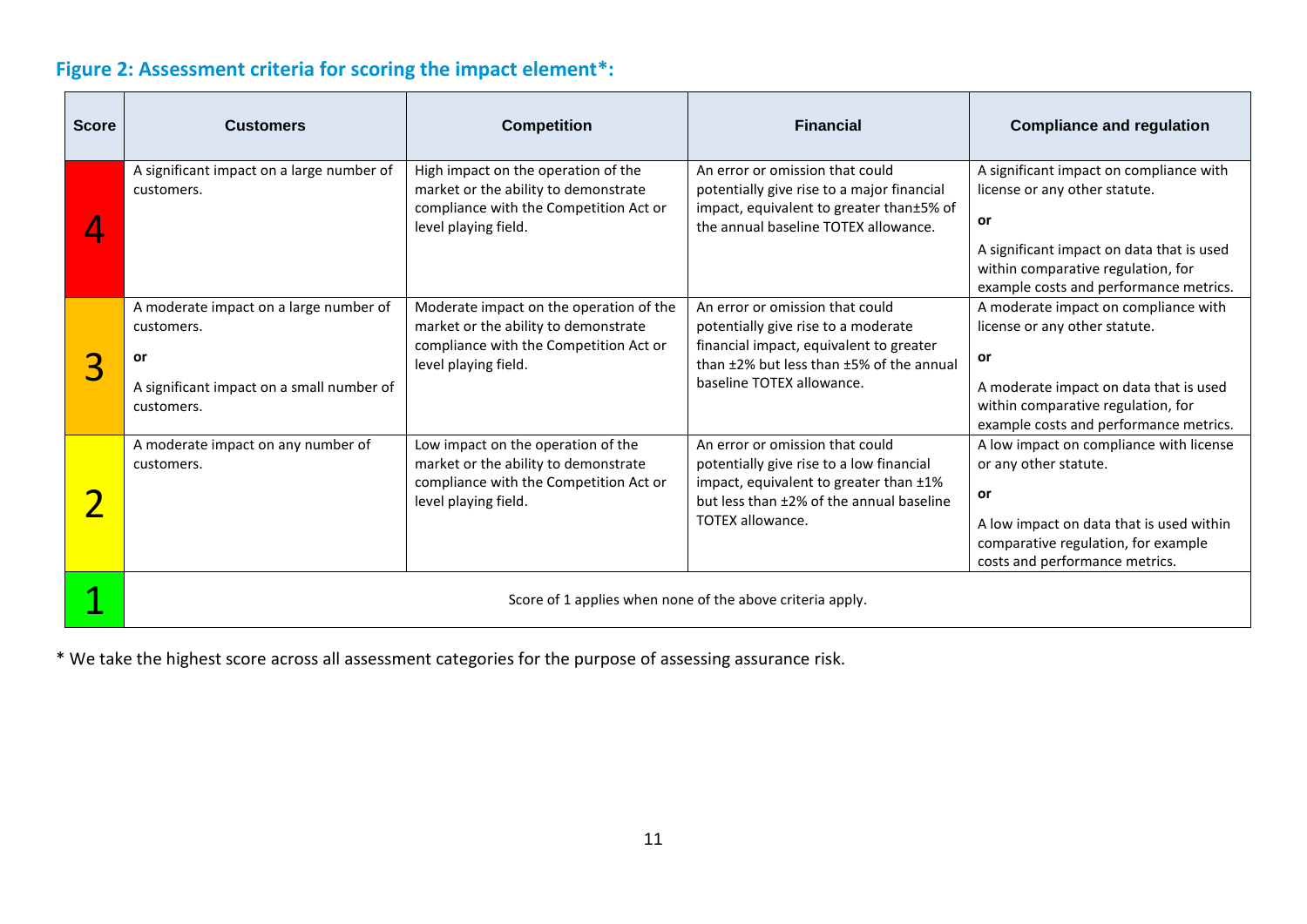### **Figure 2: Assessment criteria for scoring the impact element\*:**

| <b>Score</b> | <b>Customers</b>                                                                                                      | <b>Competition</b>                                                                                                                                | <b>Financial</b>                                                                                                                                                                             | <b>Compliance and regulation</b>                                                                                                                                                                            |
|--------------|-----------------------------------------------------------------------------------------------------------------------|---------------------------------------------------------------------------------------------------------------------------------------------------|----------------------------------------------------------------------------------------------------------------------------------------------------------------------------------------------|-------------------------------------------------------------------------------------------------------------------------------------------------------------------------------------------------------------|
|              | A significant impact on a large number of<br>customers.                                                               | High impact on the operation of the<br>market or the ability to demonstrate<br>compliance with the Competition Act or<br>level playing field.     | An error or omission that could<br>potentially give rise to a major financial<br>impact, equivalent to greater than±5% of<br>the annual baseline TOTEX allowance.                            | A significant impact on compliance with<br>license or any other statute.<br>or<br>A significant impact on data that is used<br>within comparative regulation, for<br>example costs and performance metrics. |
| 3            | A moderate impact on a large number of<br>customers.<br>or<br>A significant impact on a small number of<br>customers. | Moderate impact on the operation of the<br>market or the ability to demonstrate<br>compliance with the Competition Act or<br>level playing field. | An error or omission that could<br>potentially give rise to a moderate<br>financial impact, equivalent to greater<br>than ±2% but less than ±5% of the annual<br>baseline TOTEX allowance.   | A moderate impact on compliance with<br>license or any other statute.<br>or<br>A moderate impact on data that is used<br>within comparative regulation, for<br>example costs and performance metrics.       |
|              | A moderate impact on any number of<br>customers.                                                                      | Low impact on the operation of the<br>market or the ability to demonstrate<br>compliance with the Competition Act or<br>level playing field.      | An error or omission that could<br>potentially give rise to a low financial<br>impact, equivalent to greater than ±1%<br>but less than ±2% of the annual baseline<br><b>TOTEX allowance.</b> | A low impact on compliance with license<br>or any other statute.<br>or<br>A low impact on data that is used within<br>comparative regulation, for example<br>costs and performance metrics.                 |
|              |                                                                                                                       |                                                                                                                                                   | Score of 1 applies when none of the above criteria apply.                                                                                                                                    |                                                                                                                                                                                                             |

\* We take the highest score across all assessment categories for the purpose of assessing assurance risk.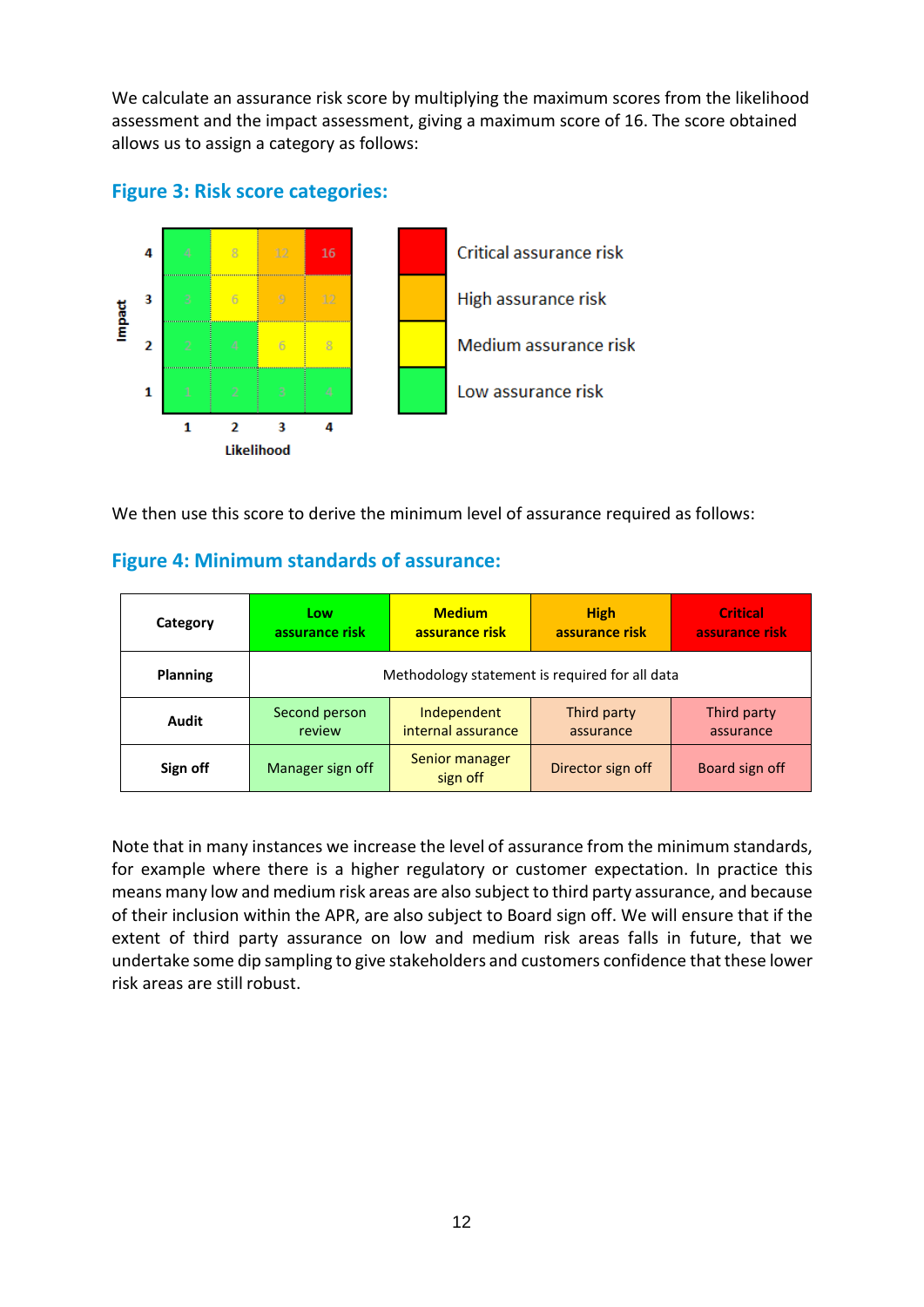We calculate an assurance risk score by multiplying the maximum scores from the likelihood assessment and the impact assessment, giving a maximum score of 16. The score obtained allows us to assign a category as follows:



### **Figure 3: Risk score categories:**

We then use this score to derive the minimum level of assurance required as follows:

### **Figure 4: Minimum standards of assurance:**

| Category        | Low                                            | <b>Medium</b>              | <b>High</b>       | <b>Critical</b> |  |
|-----------------|------------------------------------------------|----------------------------|-------------------|-----------------|--|
|                 | assurance risk                                 | assurance risk             | assurance risk    | assurance risk  |  |
| <b>Planning</b> | Methodology statement is required for all data |                            |                   |                 |  |
| Audit           | Second person                                  | Independent                | Third party       | Third party     |  |
|                 | review                                         | internal assurance         | assurance         | assurance       |  |
| Sign off        | Manager sign off                               | Senior manager<br>sign off | Director sign off | Board sign off  |  |

Note that in many instances we increase the level of assurance from the minimum standards, for example where there is a higher regulatory or customer expectation. In practice this means many low and medium risk areas are also subject to third party assurance, and because of their inclusion within the APR, are also subject to Board sign off. We will ensure that if the extent of third party assurance on low and medium risk areas falls in future, that we undertake some dip sampling to give stakeholders and customers confidence that these lower risk areas are still robust.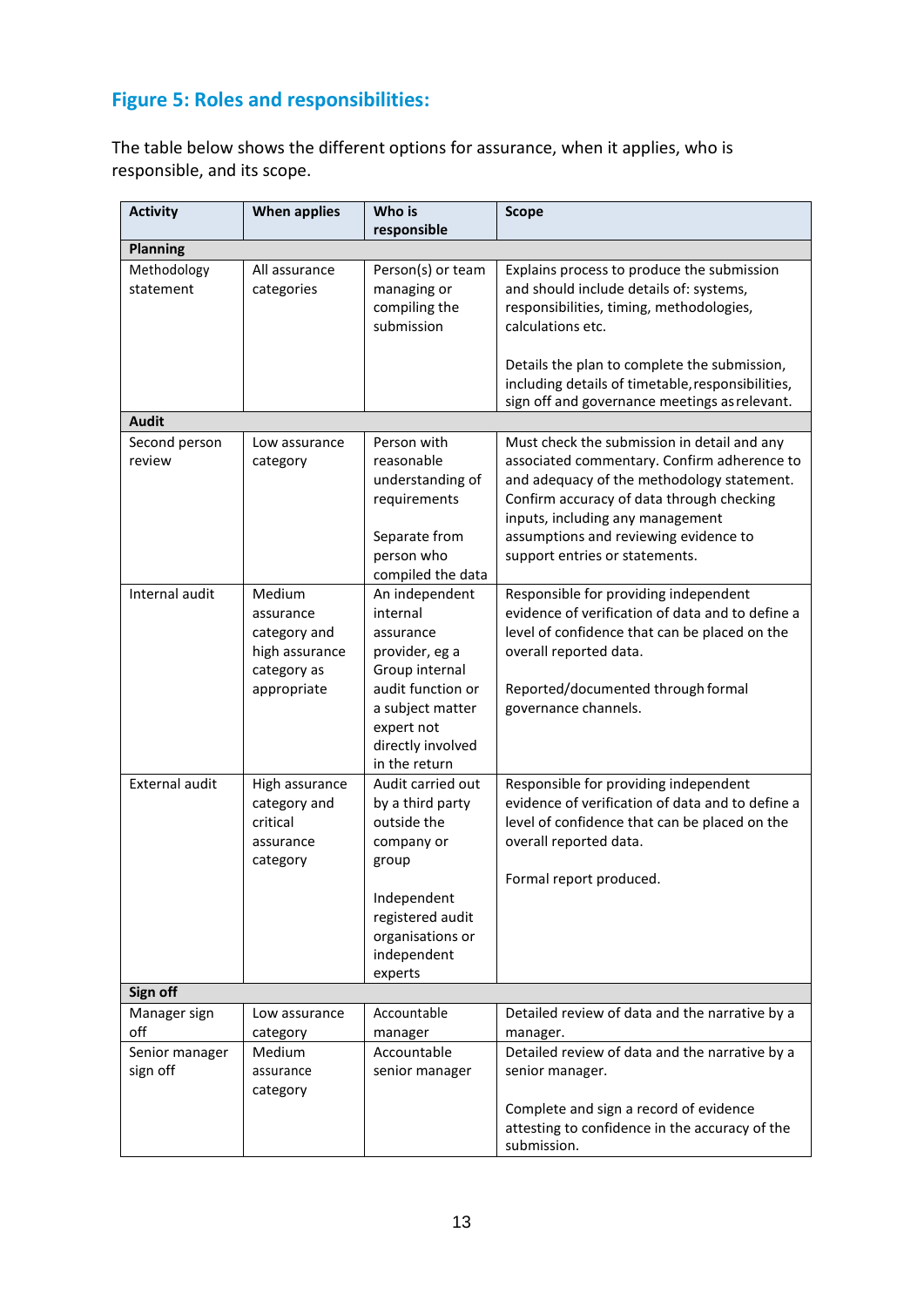### **Figure 5: Roles and responsibilities:**

The table below shows the different options for assurance, when it applies, who is responsible, and its scope.

| <b>Activity</b>                                   | <b>When applies</b>                                                                 | Who is<br>responsible                                                                                                                                                    | <b>Scope</b>                                                                                                                                                                                                                                                                                                 |
|---------------------------------------------------|-------------------------------------------------------------------------------------|--------------------------------------------------------------------------------------------------------------------------------------------------------------------------|--------------------------------------------------------------------------------------------------------------------------------------------------------------------------------------------------------------------------------------------------------------------------------------------------------------|
| <b>Planning</b>                                   |                                                                                     |                                                                                                                                                                          |                                                                                                                                                                                                                                                                                                              |
| Methodology<br>statement                          | All assurance<br>categories                                                         | Person(s) or team<br>managing or<br>compiling the<br>submission                                                                                                          | Explains process to produce the submission<br>and should include details of: systems,<br>responsibilities, timing, methodologies,<br>calculations etc.<br>Details the plan to complete the submission,<br>including details of timetable, responsibilities,<br>sign off and governance meetings as relevant. |
| <b>Audit</b>                                      |                                                                                     |                                                                                                                                                                          |                                                                                                                                                                                                                                                                                                              |
| Second person<br>review                           | Low assurance<br>category                                                           | Person with<br>reasonable<br>understanding of<br>requirements<br>Separate from<br>person who<br>compiled the data                                                        | Must check the submission in detail and any<br>associated commentary. Confirm adherence to<br>and adequacy of the methodology statement.<br>Confirm accuracy of data through checking<br>inputs, including any management<br>assumptions and reviewing evidence to<br>support entries or statements.         |
| Internal audit                                    | Medium<br>assurance<br>category and<br>high assurance<br>category as<br>appropriate | An independent<br>internal<br>assurance<br>provider, eg a<br>Group internal<br>audit function or<br>a subject matter<br>expert not<br>directly involved<br>in the return | Responsible for providing independent<br>evidence of verification of data and to define a<br>level of confidence that can be placed on the<br>overall reported data.<br>Reported/documented through formal<br>governance channels.                                                                           |
| <b>External audit</b>                             | High assurance<br>category and<br>critical<br>assurance<br>category                 | Audit carried out<br>by a third party<br>outside the<br>company or<br>group<br>Independent<br>registered audit<br>organisations or<br>independent<br>experts             | Responsible for providing independent<br>evidence of verification of data and to define a<br>level of confidence that can be placed on the<br>overall reported data.<br>Formal report produced.                                                                                                              |
| Sign off                                          |                                                                                     |                                                                                                                                                                          |                                                                                                                                                                                                                                                                                                              |
| Manager sign<br>off<br>Senior manager<br>sign off | Low assurance<br>category<br>Medium<br>assurance<br>category                        | Accountable<br>manager<br>Accountable<br>senior manager                                                                                                                  | Detailed review of data and the narrative by a<br>manager.<br>Detailed review of data and the narrative by a<br>senior manager.                                                                                                                                                                              |
|                                                   |                                                                                     |                                                                                                                                                                          | Complete and sign a record of evidence<br>attesting to confidence in the accuracy of the<br>submission.                                                                                                                                                                                                      |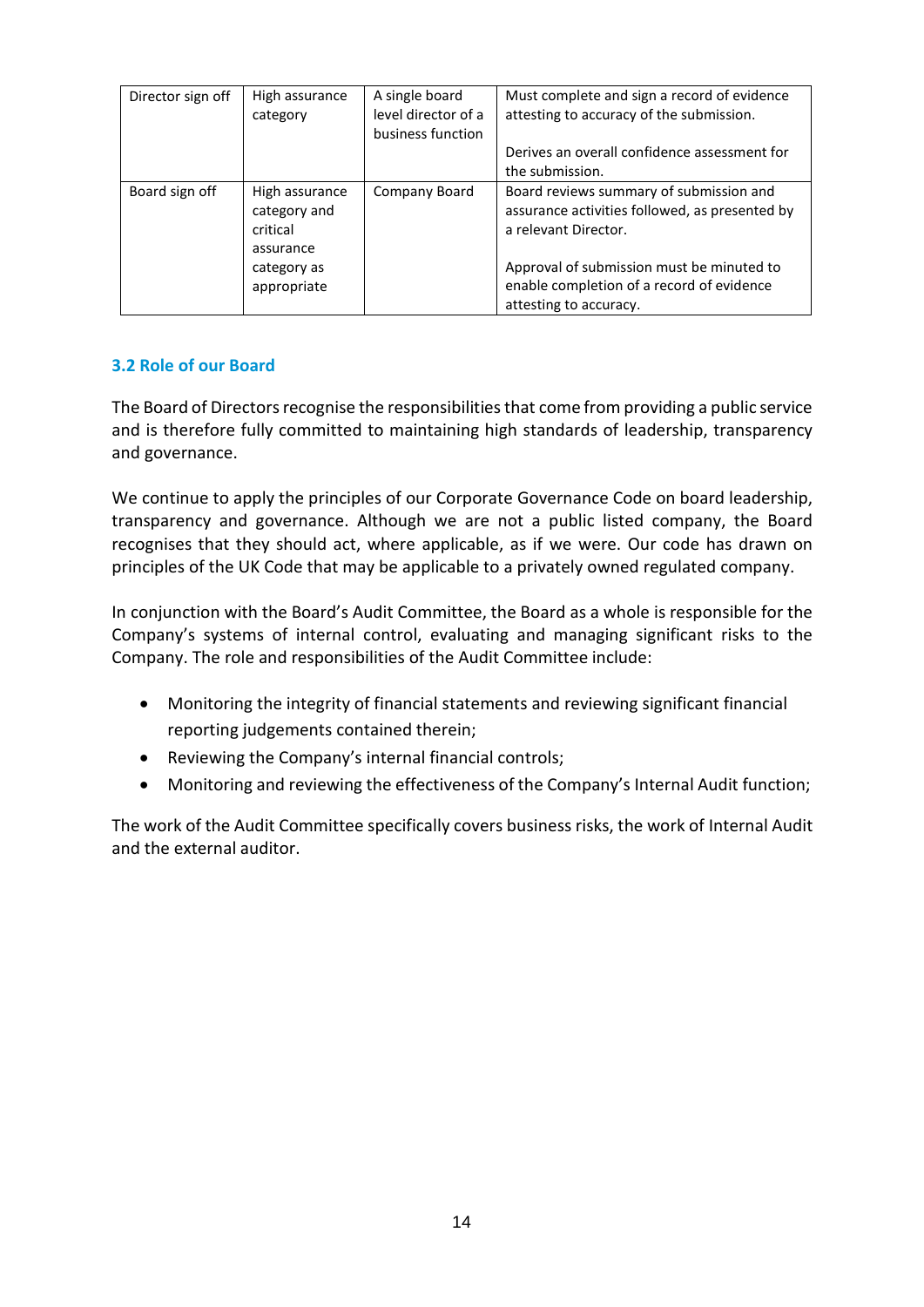| Director sign off | High assurance<br>category                                                            | A single board<br>level director of a<br>business function | Must complete and sign a record of evidence<br>attesting to accuracy of the submission.<br>Derives an overall confidence assessment for<br>the submission.                                                                            |
|-------------------|---------------------------------------------------------------------------------------|------------------------------------------------------------|---------------------------------------------------------------------------------------------------------------------------------------------------------------------------------------------------------------------------------------|
| Board sign off    | High assurance<br>category and<br>critical<br>assurance<br>category as<br>appropriate | Company Board                                              | Board reviews summary of submission and<br>assurance activities followed, as presented by<br>a relevant Director.<br>Approval of submission must be minuted to<br>enable completion of a record of evidence<br>attesting to accuracy. |

### **3.2 Role of our Board**

The Board of Directors recognise the responsibilities that come from providing a public service and is therefore fully committed to maintaining high standards of leadership, transparency and governance.

We continue to apply the principles of our Corporate Governance Code on board leadership, transparency and governance. Although we are not a public listed company, the Board recognises that they should act, where applicable, as if we were. Our code has drawn on principles of the UK Code that may be applicable to a privately owned regulated company.

In conjunction with the Board's Audit Committee, the Board as a whole is responsible for the Company's systems of internal control, evaluating and managing significant risks to the Company. The role and responsibilities of the Audit Committee include:

- Monitoring the integrity of financial statements and reviewing significant financial reporting judgements contained therein;
- Reviewing the Company's internal financial controls;
- Monitoring and reviewing the effectiveness of the Company's Internal Audit function;

The work of the Audit Committee specifically covers business risks, the work of Internal Audit and the external auditor.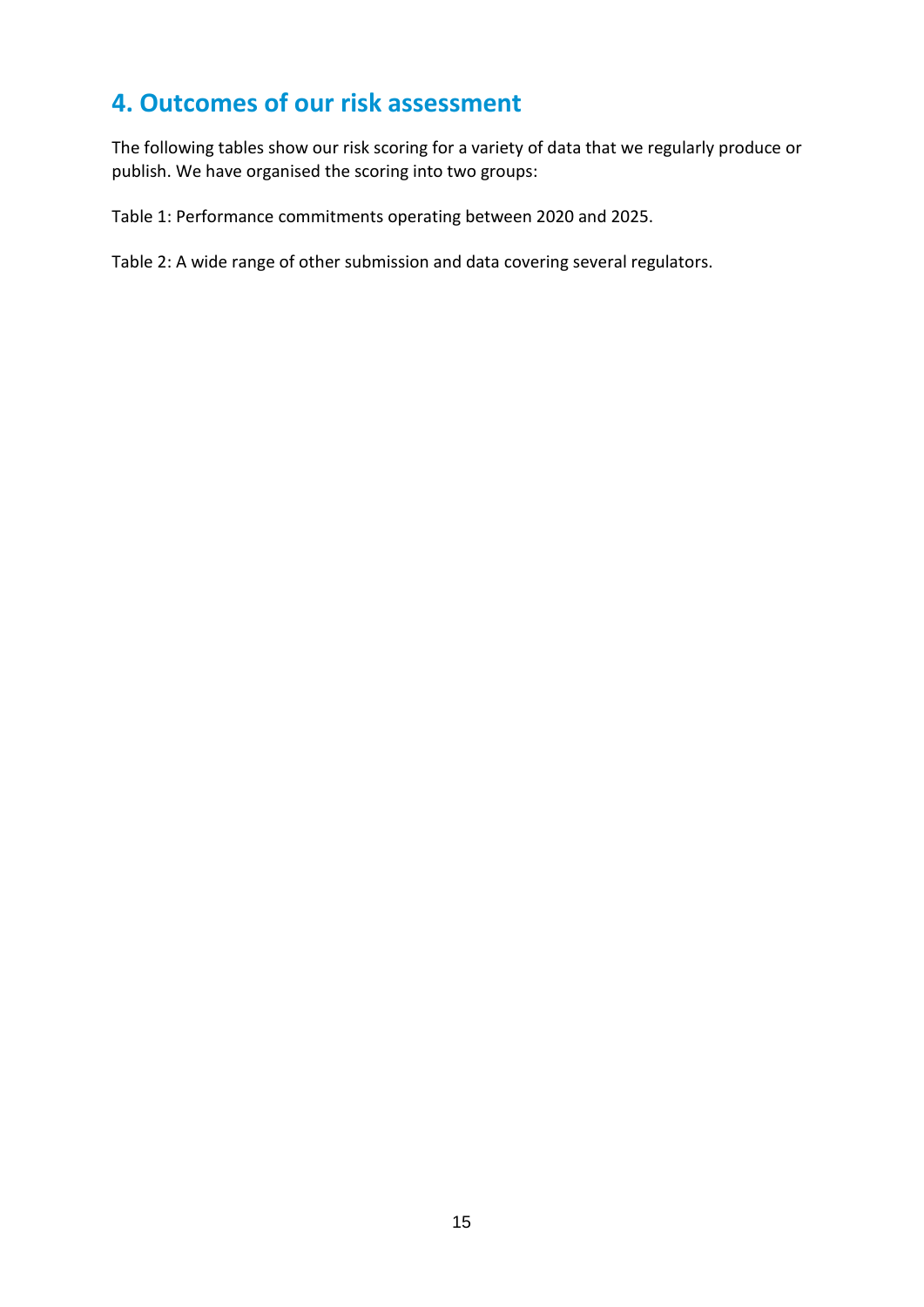### <span id="page-12-0"></span>**4. Outcomes of our risk assessment**

The following tables show our risk scoring for a variety of data that we regularly produce or publish. We have organised the scoring into two groups:

Table 1: Performance commitments operating between 2020 and 2025.

Table 2: A wide range of other submission and data covering several regulators.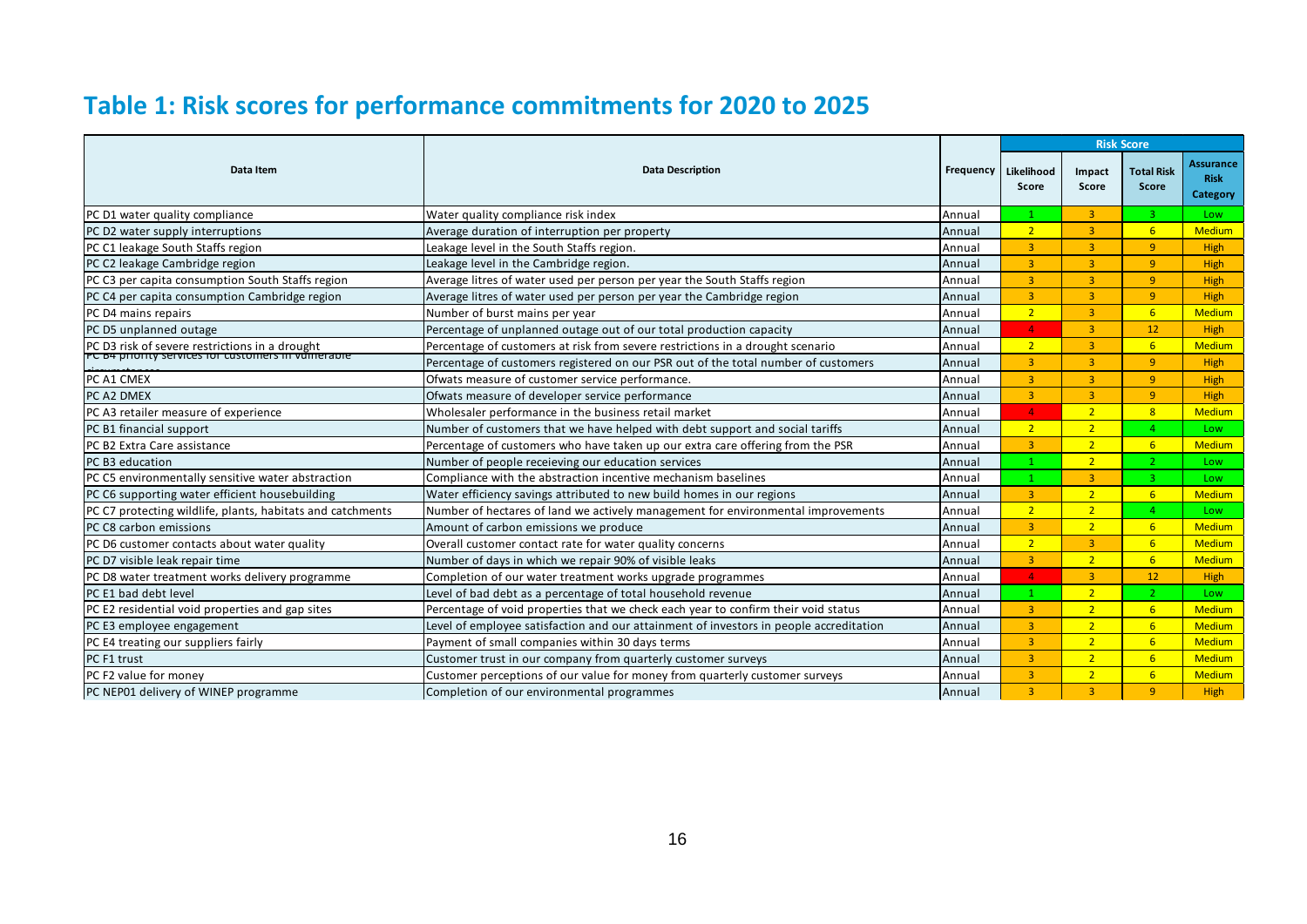# **Table 1: Risk scores for performance commitments for 2020 to 2025**

|                                                            |                                                                                        |                  | <b>Risk Score</b>   |                 |                                   |                                             |
|------------------------------------------------------------|----------------------------------------------------------------------------------------|------------------|---------------------|-----------------|-----------------------------------|---------------------------------------------|
| Data Item                                                  | <b>Data Description</b>                                                                | <b>Frequency</b> | Likelihood<br>Score | Impact<br>Score | <b>Total Risk</b><br><b>Score</b> | <b>Assurance</b><br><b>Risk</b><br>Category |
| PC D1 water quality compliance                             | Water quality compliance risk index                                                    | Annual           |                     | $\overline{3}$  | 3                                 | Low                                         |
| PC D2 water supply interruptions                           | Average duration of interruption per property                                          | Annual           | 2 <sup>1</sup>      | $\overline{3}$  | 6 <sup>1</sup>                    | <b>Medium</b>                               |
| PC C1 leakage South Staffs region                          | Leakage level in the South Staffs region.                                              | Annual           | $\overline{3}$      | $\overline{3}$  | 9 <sup>°</sup>                    | High                                        |
| PC C2 leakage Cambridge region                             | Leakage level in the Cambridge region.                                                 | Annual           | $\overline{3}$      | $\overline{3}$  | 9                                 | High                                        |
| PC C3 per capita consumption South Staffs region           | Average litres of water used per person per year the South Staffs region               | Annual           | 3                   | $\overline{3}$  | 9 <sup>°</sup>                    | High                                        |
| PC C4 per capita consumption Cambridge region              | Average litres of water used per person per year the Cambridge region                  | Annual           | $\overline{3}$      | $\overline{3}$  | 9 <sup>°</sup>                    | High                                        |
| PC D4 mains repairs                                        | Number of burst mains per year                                                         | Annual           | 2 <sup>1</sup>      | $\overline{3}$  | 6 <sup>1</sup>                    | <b>Medium</b>                               |
| PC D5 unplanned outage                                     | Percentage of unplanned outage out of our total production capacity                    | Annual           | $\overline{4}$      | $\overline{3}$  | 12 <sup>2</sup>                   | High                                        |
| PC D3 risk of severe restrictions in a drought             | Percentage of customers at risk from severe restrictions in a drought scenario         | Annual           | 2 <sup>1</sup>      | $\overline{3}$  | 6 <sup>1</sup>                    | <b>Medium</b>                               |
| PC B4 phonty services for customers in vanierable          | Percentage of customers registered on our PSR out of the total number of customers     | Annual           | 3                   | $\overline{3}$  | 9                                 | High                                        |
| PC A1 CMEX                                                 | Ofwats measure of customer service performance.                                        | Annual           | $\overline{3}$      | $\overline{3}$  | $\overline{9}$                    | High                                        |
| <b>PC A2 DMEX</b>                                          | Ofwats measure of developer service performance                                        | Annual           | $\overline{3}$      | $\overline{3}$  | 9 <sup>°</sup>                    | High                                        |
| PC A3 retailer measure of experience                       | Wholesaler performance in the business retail market                                   | Annual           | $\overline{4}$      | 2 <sup>1</sup>  | 8 <sup>1</sup>                    | <b>Medium</b>                               |
| PC B1 financial support                                    | Number of customers that we have helped with debt support and social tariffs           | Annual           | 2 <sup>1</sup>      | $\overline{2}$  | $\overline{4}$                    | Low                                         |
| PC B2 Extra Care assistance                                | Percentage of customers who have taken up our extra care offering from the PSR         | Annual           | $\overline{3}$      | 2 <sup>1</sup>  | 6 <sup>1</sup>                    | <b>Medium</b>                               |
| PC B3 education                                            | Number of people receieving our education services                                     | Annual           |                     | 2 <sup>1</sup>  | $\mathcal{L}$                     | Low                                         |
| PC C5 environmentally sensitive water abstraction          | Compliance with the abstraction incentive mechanism baselines                          | Annual           | 1                   | $\overline{3}$  | $\overline{3}$                    | Low                                         |
| PC C6 supporting water efficient housebuilding             | Water efficiency savings attributed to new build homes in our regions                  | Annual           | $\overline{3}$      | 2 <sup>1</sup>  | 6 <sup>1</sup>                    | <b>Medium</b>                               |
| PC C7 protecting wildlife, plants, habitats and catchments | Number of hectares of land we actively management for environmental improvements       | Annual           | 2 <sup>1</sup>      | $\overline{2}$  | $\overline{a}$                    | Low                                         |
| PC C8 carbon emissions                                     | Amount of carbon emissions we produce                                                  | Annual           | $\overline{3}$      | 2 <sup>1</sup>  | 6 <sup>1</sup>                    | <b>Medium</b>                               |
| PC D6 customer contacts about water quality                | Overall customer contact rate for water quality concerns                               | Annual           | $\overline{2}$      | $\overline{3}$  | 6 <sup>1</sup>                    | <b>Medium</b>                               |
| PC D7 visible leak repair time                             | Number of days in which we repair 90% of visible leaks                                 | Annual           | $\overline{3}$      | 2 <sup>1</sup>  | 6 <sup>1</sup>                    | <b>Medium</b>                               |
| PC D8 water treatment works delivery programme             | Completion of our water treatment works upgrade programmes                             | Annual           | $\overline{4}$      | $\overline{3}$  | 12                                | High                                        |
| PC E1 bad debt level                                       | Level of bad debt as a percentage of total household revenue                           | Annual           | 1                   | 2 <sup>1</sup>  | $\overline{2}$                    | Low                                         |
| PC E2 residential void properties and gap sites            | Percentage of void properties that we check each year to confirm their void status     | Annual           | $\overline{3}$      | 2 <sup>1</sup>  | 6 <sup>1</sup>                    | <b>Medium</b>                               |
| PC E3 employee engagement                                  | Level of employee satisfaction and our attainment of investors in people accreditation | Annual           | $\overline{3}$      | $\overline{2}$  | 6 <sup>1</sup>                    | <b>Medium</b>                               |
| PC E4 treating our suppliers fairly                        | Payment of small companies within 30 days terms                                        | Annual           | $\overline{3}$      | 2 <sup>1</sup>  | 6 <sup>1</sup>                    | <b>Medium</b>                               |
| PC F1 trust                                                | Customer trust in our company from quarterly customer surveys                          | Annual           | $\overline{3}$      | 2 <sup>1</sup>  | 6 <sup>1</sup>                    | <b>Medium</b>                               |
| PC F2 value for money                                      | Customer perceptions of our value for money from quarterly customer surveys            | Annual           | $\overline{3}$      | 2 <sup>1</sup>  | 6 <sup>1</sup>                    | <b>Medium</b>                               |
| PC NEP01 delivery of WINEP programme                       | Completion of our environmental programmes                                             | Annual           | $\overline{3}$      | $\overline{3}$  | 9                                 | High                                        |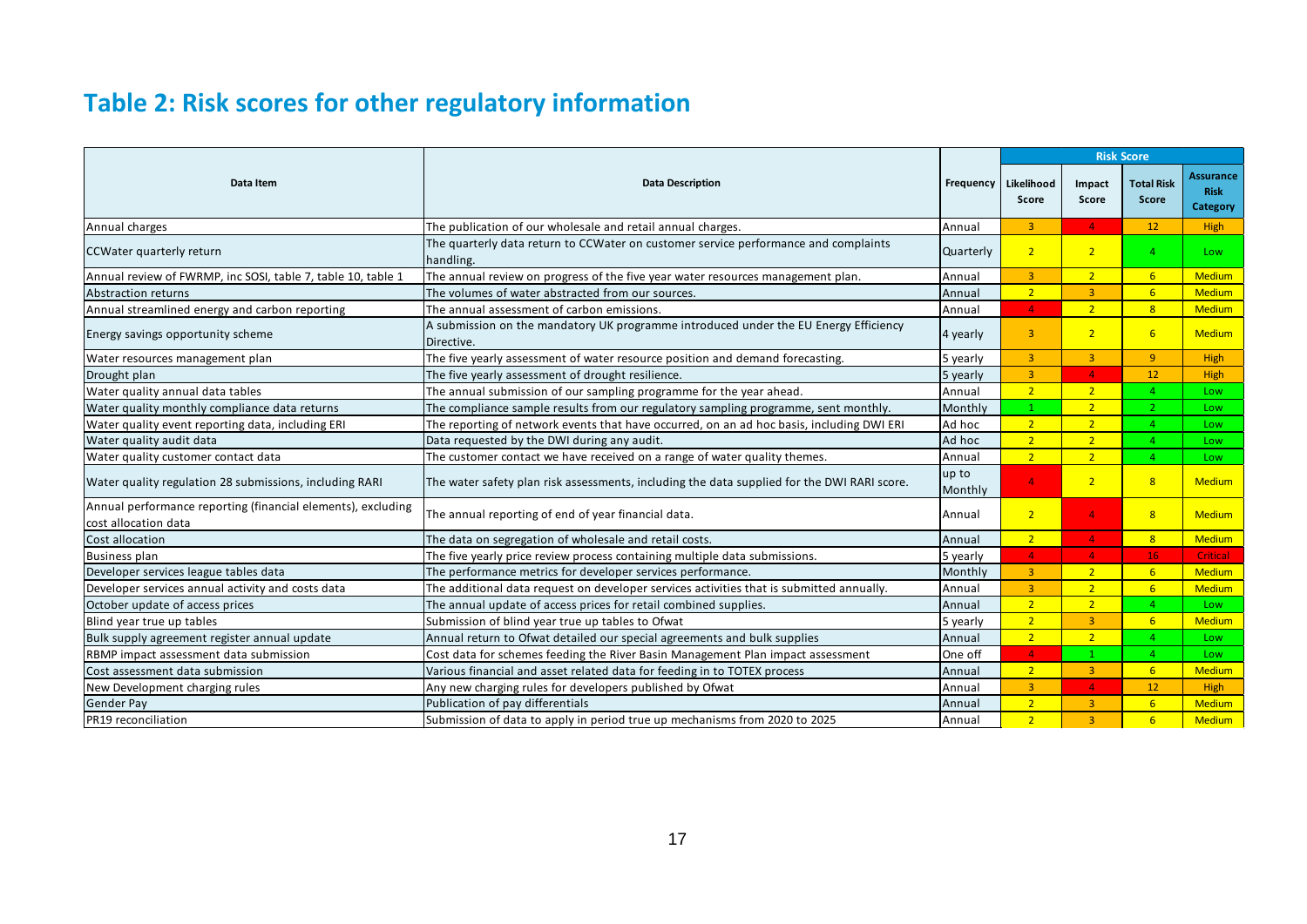# **Table 2: Risk scores for other regulatory information**

|                                                                                      |                                                                                                    |                  | <b>Risk Score</b>   |                 |                            |                                             |
|--------------------------------------------------------------------------------------|----------------------------------------------------------------------------------------------------|------------------|---------------------|-----------------|----------------------------|---------------------------------------------|
| Data Item                                                                            | <b>Data Description</b>                                                                            | Frequency        | Likelihood<br>Score | Impact<br>Score | <b>Total Risk</b><br>Score | Assurance<br><b>Risk</b><br><b>Category</b> |
| Annual charges                                                                       | The publication of our wholesale and retail annual charges.                                        | Annual           | $\overline{3}$      | $\mathbf{4}$    | 12                         | High                                        |
| CCWater quarterly return                                                             | The quarterly data return to CCWater on customer service performance and complaints<br>handling.   | Quarterly        | 2 <sup>1</sup>      | $\overline{2}$  | 4 <sup>1</sup>             | Low                                         |
| Annual review of FWRMP, inc SOSI, table 7, table 10, table 1                         | The annual review on progress of the five year water resources management plan.                    | Annual           | $\overline{3}$      | 2 <sup>7</sup>  | 6 <sup>1</sup>             | <b>Medium</b>                               |
| <b>Abstraction returns</b>                                                           | The volumes of water abstracted from our sources.                                                  | Annual           | 2 <sup>1</sup>      | $\overline{3}$  | 6 <sup>1</sup>             | <b>Medium</b>                               |
| Annual streamlined energy and carbon reporting                                       | The annual assessment of carbon emissions.                                                         | Annual           | $\overline{4}$      | 2 <sup>1</sup>  | 8 <sup>1</sup>             | <b>Medium</b>                               |
| Energy savings opportunity scheme                                                    | A submission on the mandatory UK programme introduced under the EU Energy Efficiency<br>Directive. | 4 yearly         | $\overline{3}$      | 2 <sup>7</sup>  | 6 <sup>1</sup>             | <b>Medium</b>                               |
| Water resources management plan                                                      | The five yearly assessment of water resource position and demand forecasting.                      | 5 yearly         | $\overline{3}$      | $\overline{3}$  | 9 <sup>°</sup>             | High                                        |
| Drought plan                                                                         | The five yearly assessment of drought resilience.                                                  | 5 yearly         | $\overline{3}$      | $\overline{4}$  | 12                         | High                                        |
| Water quality annual data tables                                                     | The annual submission of our sampling programme for the year ahead.                                | Annual           | 2 <sup>1</sup>      | 2 <sup>7</sup>  | 4 <sup>1</sup>             | Low                                         |
| Water quality monthly compliance data returns                                        | The compliance sample results from our regulatory sampling programme, sent monthly.                | Monthly          | $\mathbf{1}$        | 2 <sup>1</sup>  | 2 <sup>1</sup>             | Low                                         |
| Water quality event reporting data, including ERI                                    | The reporting of network events that have occurred, on an ad hoc basis, including DWI ERI          | Ad hoc           | 2 <sup>2</sup>      | 2 <sup>7</sup>  | $\mathbf{A}$               | Low                                         |
| Water quality audit data                                                             | Data requested by the DWI during any audit.                                                        | Ad hoc           | 2 <sup>1</sup>      | 2 <sup>1</sup>  | $\overline{4}$             | Low                                         |
| Water quality customer contact data                                                  | The customer contact we have received on a range of water quality themes.                          | Annual           | 2 <sup>1</sup>      | 2 <sup>1</sup>  | $\mathbf{A}$               | Low                                         |
| Water quality regulation 28 submissions, including RARI                              | The water safety plan risk assessments, including the data supplied for the DWI RARI score.        | up to<br>Monthly | $\Delta$            | 2 <sup>2</sup>  | 8                          | <b>Medium</b>                               |
| Annual performance reporting (financial elements), excluding<br>cost allocation data | The annual reporting of end of year financial data.                                                | Annual           | 2 <sup>1</sup>      | $\Delta$        | 8 <sup>1</sup>             | <b>Medium</b>                               |
| Cost allocation                                                                      | The data on segregation of wholesale and retail costs.                                             | Annual           | $\overline{2}$      | $\overline{4}$  | 8 <sup>1</sup>             | <b>Medium</b>                               |
| <b>Business plan</b>                                                                 | The five yearly price review process containing multiple data submissions.                         | 5 yearly         | $\overline{4}$      | 4 <sup>1</sup>  | 16                         | Critical                                    |
| Developer services league tables data                                                | The performance metrics for developer services performance.                                        | Monthly          | 3 <sup>1</sup>      | 2 <sup>7</sup>  | 6 <sup>1</sup>             | <b>Medium</b>                               |
| Developer services annual activity and costs data                                    | The additional data request on developer services activities that is submitted annually.           | Annual           | $\overline{3}$      | 2 <sup>1</sup>  | 6 <sup>1</sup>             | <b>Medium</b>                               |
| October update of access prices                                                      | The annual update of access prices for retail combined supplies.                                   | Annual           | 2 <sup>1</sup>      | 2 <sup>1</sup>  | $\overline{4}$             | Low.                                        |
| Blind year true up tables                                                            | Submission of blind year true up tables to Ofwat                                                   | 5 yearly         | 2 <sup>7</sup>      | $\overline{3}$  | 6 <sup>1</sup>             | <b>Medium</b>                               |
| Bulk supply agreement register annual update                                         | Annual return to Ofwat detailed our special agreements and bulk supplies                           | Annual           | 2 <sup>1</sup>      | 2 <sup>1</sup>  | 4 <sup>1</sup>             | Low                                         |
| RBMP impact assessment data submission                                               | Cost data for schemes feeding the River Basin Management Plan impact assessment                    | One off          | $\overline{4}$      |                 | 4 <sup>1</sup>             | Low                                         |
| Cost assessment data submission                                                      | Various financial and asset related data for feeding in to TOTEX process                           | Annual           | 2 <sup>7</sup>      | $\overline{3}$  | 6 <sup>1</sup>             | <b>Medium</b>                               |
| New Development charging rules                                                       | Any new charging rules for developers published by Ofwat                                           | Annual           | $\overline{3}$      | $\overline{4}$  | 12                         | High                                        |
| Gender Pay                                                                           | Publication of pay differentials                                                                   | Annual           | 2 <sup>1</sup>      | $\overline{3}$  | 6 <sup>1</sup>             | <b>Medium</b>                               |
| <b>IPR19</b> reconciliation                                                          | Submission of data to apply in period true up mechanisms from 2020 to 2025                         | Annual           | 2 <sup>1</sup>      | $\overline{3}$  | 6 <sup>1</sup>             | <b>Medium</b>                               |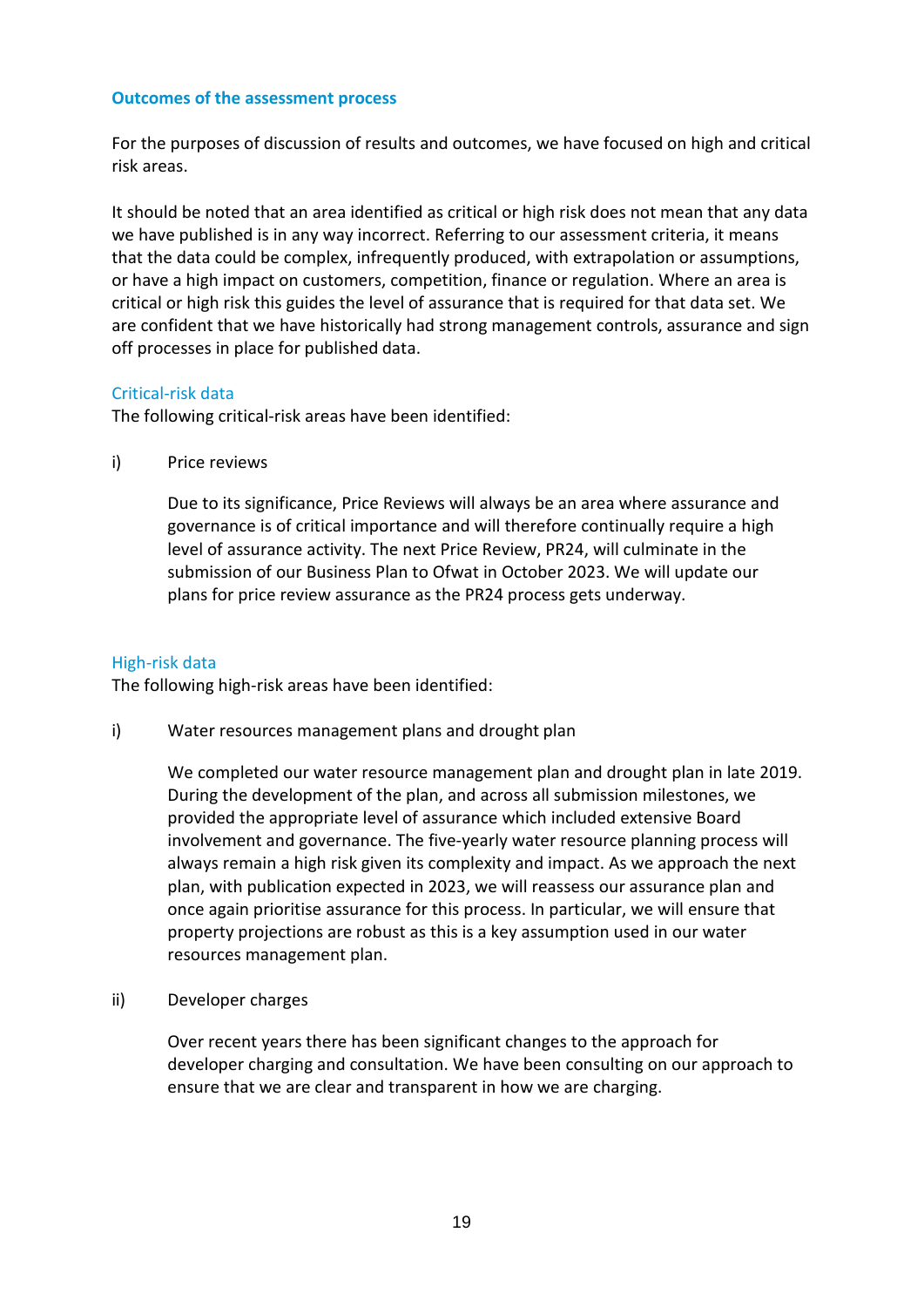#### **Outcomes of the assessment process**

For the purposes of discussion of results and outcomes, we have focused on high and critical risk areas.

It should be noted that an area identified as critical or high risk does not mean that any data we have published is in any way incorrect. Referring to our assessment criteria, it means that the data could be complex, infrequently produced, with extrapolation or assumptions, or have a high impact on customers, competition, finance or regulation. Where an area is critical or high risk this guides the level of assurance that is required for that data set. We are confident that we have historically had strong management controls, assurance and sign off processes in place for published data.

#### Critical-risk data

The following critical-risk areas have been identified:

i) Price reviews

Due to its significance, Price Reviews will always be an area where assurance and governance is of critical importance and will therefore continually require a high level of assurance activity. The next Price Review, PR24, will culminate in the submission of our Business Plan to Ofwat in October 2023. We will update our plans for price review assurance as the PR24 process gets underway.

#### High-risk data

The following high-risk areas have been identified:

i) Water resources management plans and drought plan

We completed our water resource management plan and drought plan in late 2019. During the development of the plan, and across all submission milestones, we provided the appropriate level of assurance which included extensive Board involvement and governance. The five-yearly water resource planning process will always remain a high risk given its complexity and impact. As we approach the next plan, with publication expected in 2023, we will reassess our assurance plan and once again prioritise assurance for this process. In particular, we will ensure that property projections are robust as this is a key assumption used in our water resources management plan.

#### ii) Developer charges

Over recent years there has been significant changes to the approach for developer charging and consultation. We have been consulting on our approach to ensure that we are clear and transparent in how we are charging.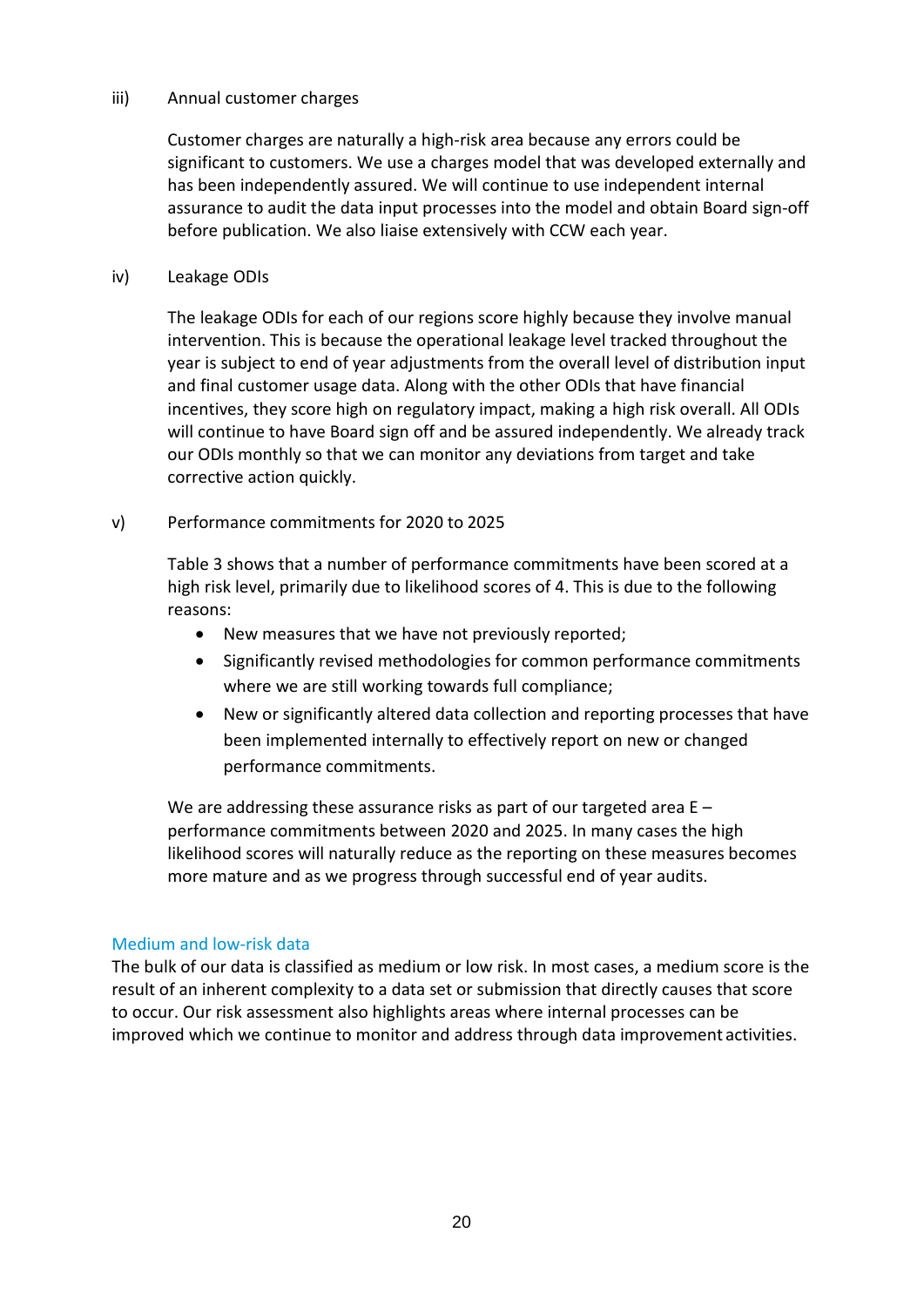#### iii) Annual customer charges

Customer charges are naturally a high-risk area because any errors could be significant to customers. We use a charges model that was developed externally and has been independently assured. We will continue to use independent internal assurance to audit the data input processes into the model and obtain Board sign-off before publication. We also liaise extensively with CCW each year.

#### iv) Leakage ODIs

The leakage ODIs for each of our regions score highly because they involve manual intervention. This is because the operational leakage level tracked throughout the year is subject to end of year adjustments from the overall level of distribution input and final customer usage data. Along with the other ODIs that have financial incentives, they score high on regulatory impact, making a high risk overall. All ODIs will continue to have Board sign off and be assured independently. We already track our ODIs monthly so that we can monitor any deviations from target and take corrective action quickly.

### v) Performance commitments for 2020 to 2025

Table 3 shows that a number of performance commitments have been scored at a high risk level, primarily due to likelihood scores of 4. This is due to the following reasons:

- New measures that we have not previously reported;
- Significantly revised methodologies for common performance commitments where we are still working towards full compliance;
- New or significantly altered data collection and reporting processes that have been implemented internally to effectively report on new or changed performance commitments.

We are addressing these assurance risks as part of our targeted area E – performance commitments between 2020 and 2025. In many cases the high likelihood scores will naturally reduce as the reporting on these measures becomes more mature and as we progress through successful end of year audits.

#### Medium and low-risk data

The bulk of our data is classified as medium or low risk. In most cases, a medium score is the result of an inherent complexity to a data set or submission that directly causes that score to occur. Our risk assessment also highlights areas where internal processes can be improved which we continue to monitor and address through data improvement activities.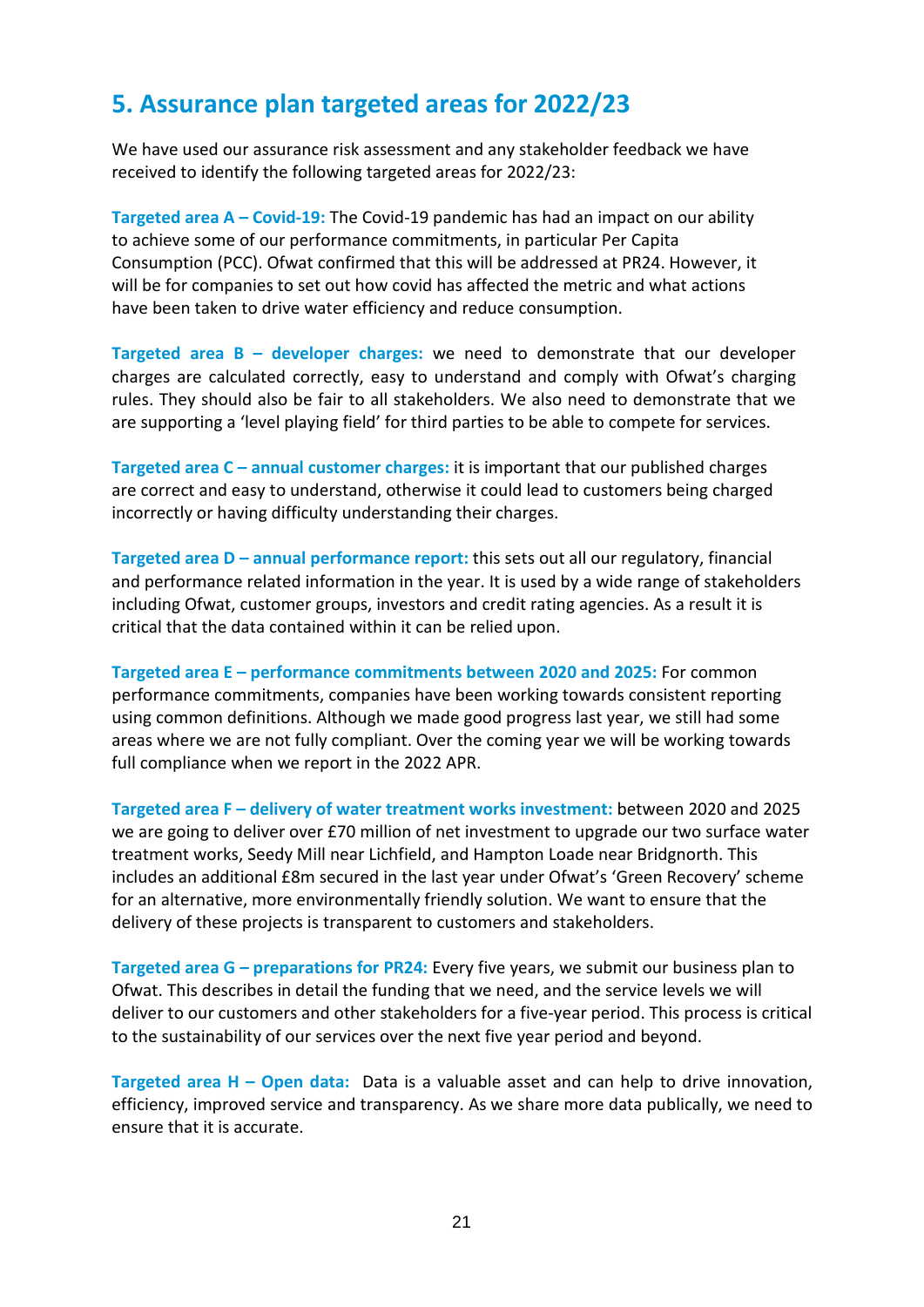### <span id="page-17-0"></span>**5. Assurance plan targeted areas for 2022/23**

We have used our assurance risk assessment and any stakeholder feedback we have received to identify the following targeted areas for 2022/23:

**Targeted area A – Covid-19:** The Covid-19 pandemic has had an impact on our ability to achieve some of our performance commitments, in particular Per Capita Consumption (PCC). Ofwat confirmed that this will be addressed at PR24. However, it will be for companies to set out how covid has affected the metric and what actions have been taken to drive water efficiency and reduce consumption.

**Targeted area B – developer charges:** we need to demonstrate that our developer charges are calculated correctly, easy to understand and comply with Ofwat's charging rules. They should also be fair to all stakeholders. We also need to demonstrate that we are supporting a 'level playing field' for third parties to be able to compete for services.

**Targeted area C – annual customer charges:** it is important that our published charges are correct and easy to understand, otherwise it could lead to customers being charged incorrectly or having difficulty understanding their charges.

**Targeted area D – annual performance report:** this sets out all our regulatory, financial and performance related information in the year. It is used by a wide range of stakeholders including Ofwat, customer groups, investors and credit rating agencies. As a result it is critical that the data contained within it can be relied upon.

**Targeted area E – performance commitments between 2020 and 2025:** For common performance commitments, companies have been working towards consistent reporting using common definitions. Although we made good progress last year, we still had some areas where we are not fully compliant. Over the coming year we will be working towards full compliance when we report in the 2022 APR.

**Targeted area F – delivery of water treatment works investment:** between 2020 and 2025 we are going to deliver over £70 million of net investment to upgrade our two surface water treatment works, Seedy Mill near Lichfield, and Hampton Loade near Bridgnorth. This includes an additional £8m secured in the last year under Ofwat's 'Green Recovery' scheme for an alternative, more environmentally friendly solution. We want to ensure that the delivery of these projects is transparent to customers and stakeholders.

**Targeted area G – preparations for PR24:** Every five years, we submit our business plan to Ofwat. This describes in detail the funding that we need, and the service levels we will deliver to our customers and other stakeholders for a five-year period. This process is critical to the sustainability of our services over the next five year period and beyond.

**Targeted area H – Open data:** Data is a valuable asset and can help to drive innovation, efficiency, improved service and transparency. As we share more data publically, we need to ensure that it is accurate.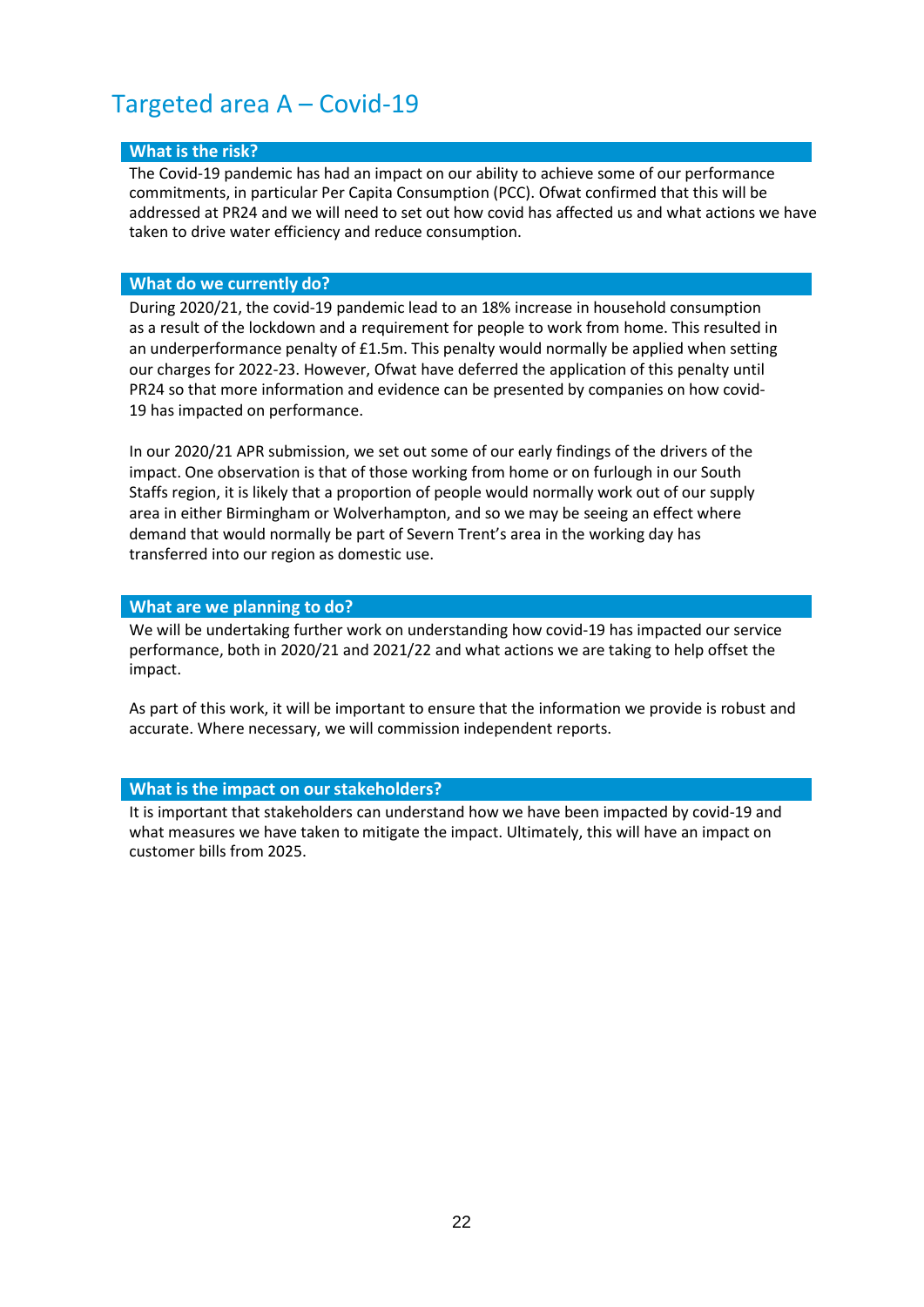### <span id="page-18-0"></span>Targeted area A – Covid-19

#### **What is the risk?**

The Covid-19 pandemic has had an impact on our ability to achieve some of our performance commitments, in particular Per Capita Consumption (PCC). Ofwat confirmed that this will be addressed at PR24 and we will need to set out how covid has affected us and what actions we have taken to drive water efficiency and reduce consumption.

#### **What do we currently do?**

During 2020/21, the covid-19 pandemic lead to an 18% increase in household consumption as a result of the lockdown and a requirement for people to work from home. This resulted in an underperformance penalty of £1.5m. This penalty would normally be applied when setting our charges for 2022-23. However, Ofwat have deferred the application of this penalty until PR24 so that more information and evidence can be presented by companies on how covid-19 has impacted on performance.

In our 2020/21 APR submission, we set out some of our early findings of the drivers of the impact. One observation is that of those working from home or on furlough in our South Staffs region, it is likely that a proportion of people would normally work out of our supply area in either Birmingham or Wolverhampton, and so we may be seeing an effect where demand that would normally be part of Severn Trent's area in the working day has transferred into our region as domestic use.

#### **What are we planning to do?**

We will be undertaking further work on understanding how covid-19 has impacted our service performance, both in 2020/21 and 2021/22 and what actions we are taking to help offset the impact.

As part of this work, it will be important to ensure that the information we provide is robust and accurate. Where necessary, we will commission independent reports.

#### **What is the impact on ourstakeholders?**

It is important that stakeholders can understand how we have been impacted by covid-19 and what measures we have taken to mitigate the impact. Ultimately, this will have an impact on customer bills from 2025.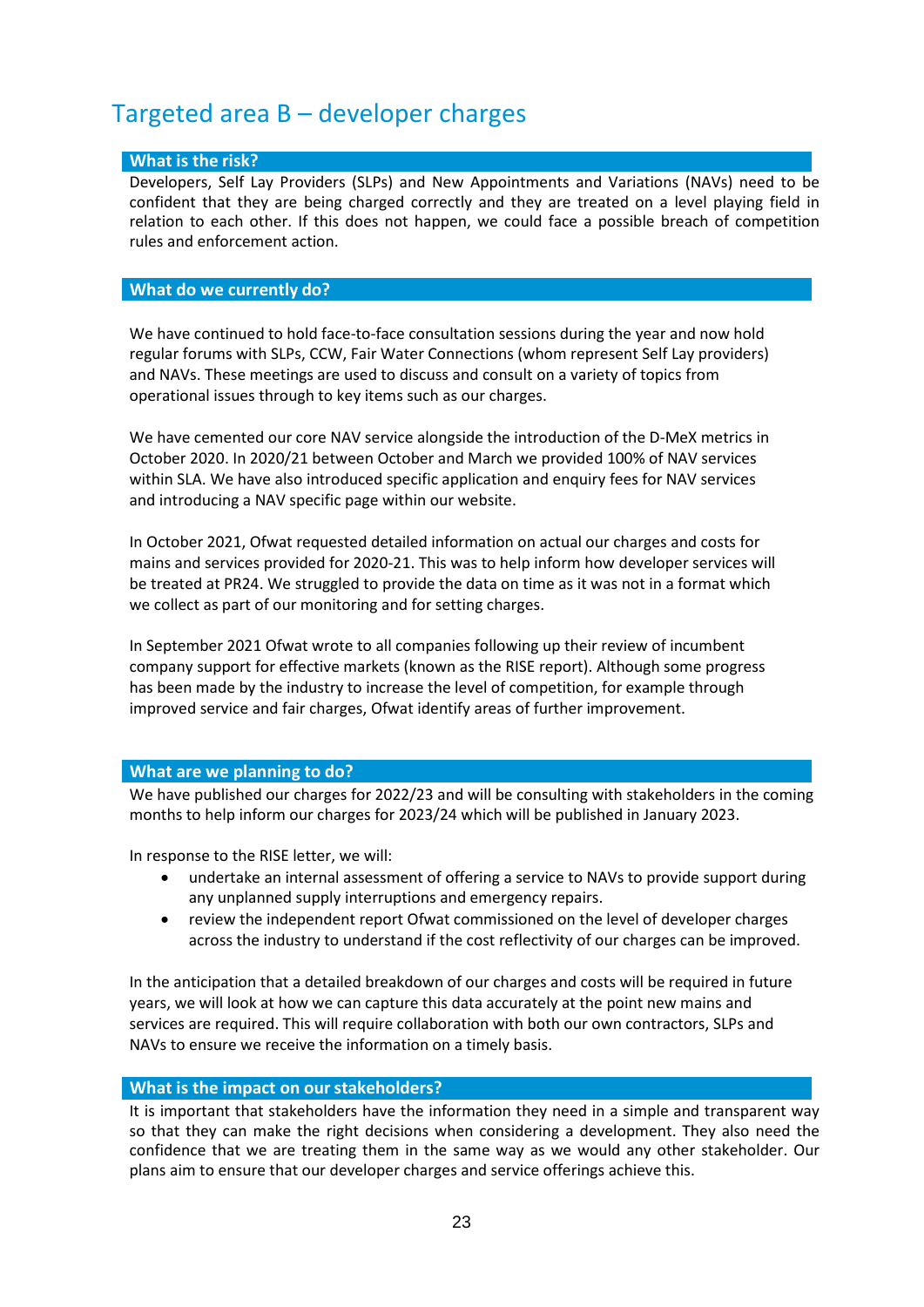### <span id="page-19-0"></span>Targeted area B – developer charges

#### **What is the risk?**

Developers, Self Lay Providers (SLPs) and New Appointments and Variations (NAVs) need to be confident that they are being charged correctly and they are treated on a level playing field in relation to each other. If this does not happen, we could face a possible breach of competition rules and enforcement action.

#### **What do we currently do?**

We have continued to hold face-to-face consultation sessions during the year and now hold regular forums with SLPs, CCW, Fair Water Connections (whom represent Self Lay providers) and NAVs. These meetings are used to discuss and consult on a variety of topics from operational issues through to key items such as our charges.

We have cemented our core NAV service alongside the introduction of the D-MeX metrics in October 2020. In 2020/21 between October and March we provided 100% of NAV services within SLA. We have also introduced specific application and enquiry fees for NAV services and introducing a NAV specific page within our website.

In October 2021, Ofwat requested detailed information on actual our charges and costs for mains and services provided for 2020-21. This was to help inform how developer services will be treated at PR24. We struggled to provide the data on time as it was not in a format which we collect as part of our monitoring and for setting charges.

In September 2021 Ofwat wrote to all companies following up their review of incumbent company support for effective markets (known as the RISE report). Although some progress has been made by the industry to increase the level of competition, for example through improved service and fair charges, Ofwat identify areas of further improvement.

#### **What are we planning to do?**

We have published our charges for 2022/23 and will be consulting with stakeholders in the coming months to help inform our charges for 2023/24 which will be published in January 2023.

In response to the RISE letter, we will:

- undertake an internal assessment of offering a service to NAVs to provide support during any unplanned supply interruptions and emergency repairs.
- review the independent report Ofwat commissioned on the level of developer charges across the industry to understand if the cost reflectivity of our charges can be improved.

In the anticipation that a detailed breakdown of our charges and costs will be required in future years, we will look at how we can capture this data accurately at the point new mains and services are required. This will require collaboration with both our own contractors, SLPs and NAVs to ensure we receive the information on a timely basis.

#### **What is the impact on ourstakeholders?**

It is important that stakeholders have the information they need in a simple and transparent way so that they can make the right decisions when considering a development. They also need the confidence that we are treating them in the same way as we would any other stakeholder. Our plans aim to ensure that our developer charges and service offerings achieve this.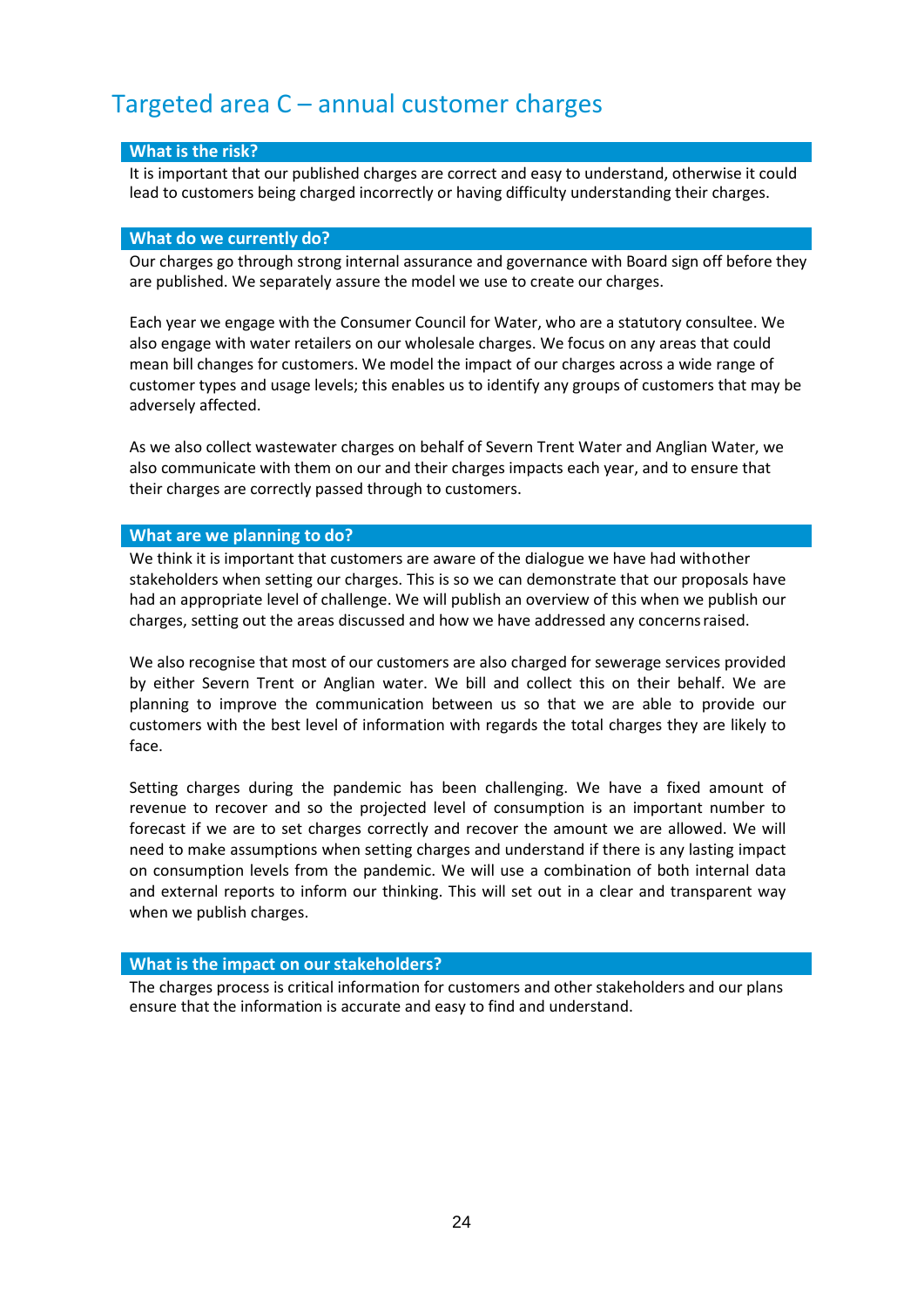### <span id="page-20-0"></span>Targeted area C – annual customer charges

#### **What is the risk?**

It is important that our published charges are correct and easy to understand, otherwise it could lead to customers being charged incorrectly or having difficulty understanding their charges.

#### **What do we currently do?**

Our charges go through strong internal assurance and governance with Board sign off before they are published. We separately assure the model we use to create our charges.

Each year we engage with the Consumer Council for Water, who are a statutory consultee. We also engage with water retailers on our wholesale charges. We focus on any areas that could mean bill changes for customers. We model the impact of our charges across a wide range of customer types and usage levels; this enables us to identify any groups of customers that may be adversely affected.

As we also collect wastewater charges on behalf of Severn Trent Water and Anglian Water, we also communicate with them on our and their charges impacts each year, and to ensure that their charges are correctly passed through to customers.

#### **What are we planning to do?**

We think it is important that customers are aware of the dialogue we have had withother stakeholders when setting our charges. This is so we can demonstrate that our proposals have had an appropriate level of challenge. We will publish an overview of this when we publish our charges, setting out the areas discussed and how we have addressed any concernsraised.

We also recognise that most of our customers are also charged for sewerage services provided by either Severn Trent or Anglian water. We bill and collect this on their behalf. We are planning to improve the communication between us so that we are able to provide our customers with the best level of information with regards the total charges they are likely to face.

Setting charges during the pandemic has been challenging. We have a fixed amount of revenue to recover and so the projected level of consumption is an important number to forecast if we are to set charges correctly and recover the amount we are allowed. We will need to make assumptions when setting charges and understand if there is any lasting impact on consumption levels from the pandemic. We will use a combination of both internal data and external reports to inform our thinking. This will set out in a clear and transparent way when we publish charges.

#### **What is the impact on ourstakeholders?**

The charges process is critical information for customers and other stakeholders and our plans ensure that the information is accurate and easy to find and understand.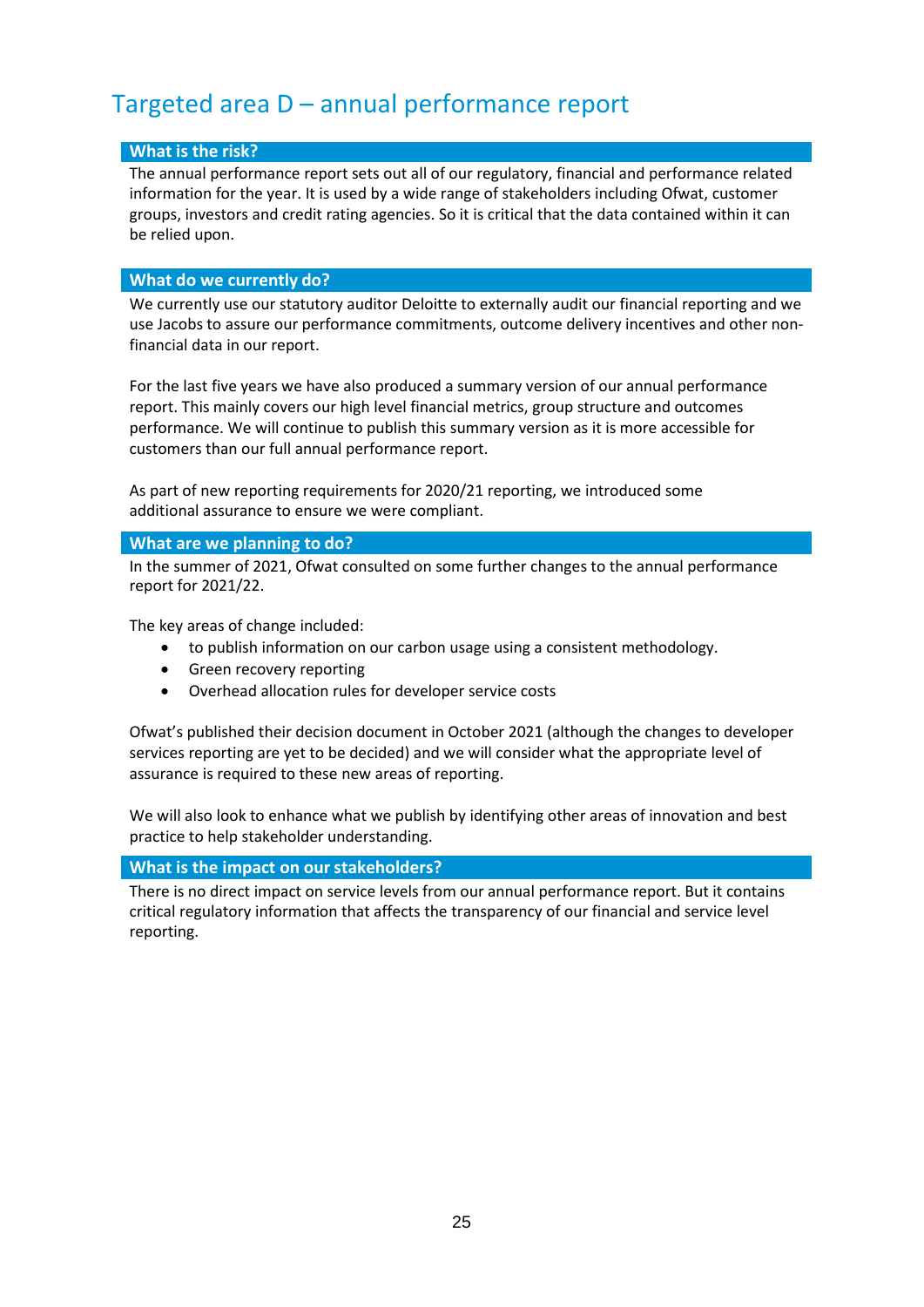### <span id="page-21-0"></span>Targeted area D – annual performance report

#### **What is the risk?**

The annual performance report sets out all of our regulatory, financial and performance related information for the year. It is used by a wide range of stakeholders including Ofwat, customer groups, investors and credit rating agencies. So it is critical that the data contained within it can be relied upon.

#### **What do we currently do?**

We currently use our statutory auditor Deloitte to externally audit our financial reporting and we use Jacobs to assure our performance commitments, outcome delivery incentives and other nonfinancial data in our report.

For the last five years we have also produced a summary version of our annual performance report. This mainly covers our high level financial metrics, group structure and outcomes performance. We will continue to publish this summary version as it is more accessible for customers than our full annual performance report.

As part of new reporting requirements for 2020/21 reporting, we introduced some additional assurance to ensure we were compliant.

#### **What are we planning to do?**

In the summer of 2021, Ofwat consulted on some further changes to the annual performance report for 2021/22.

The key areas of change included:

- to publish information on our carbon usage using a consistent methodology.
- Green recovery reporting
- Overhead allocation rules for developer service costs

Ofwat's published their decision document in October 2021 (although the changes to developer services reporting are yet to be decided) and we will consider what the appropriate level of assurance is required to these new areas of reporting.

We will also look to enhance what we publish by identifying other areas of innovation and best practice to help stakeholder understanding.

#### **What is the impact on ourstakeholders?**

There is no direct impact on service levels from our annual performance report. But it contains critical regulatory information that affects the transparency of our financial and service level reporting.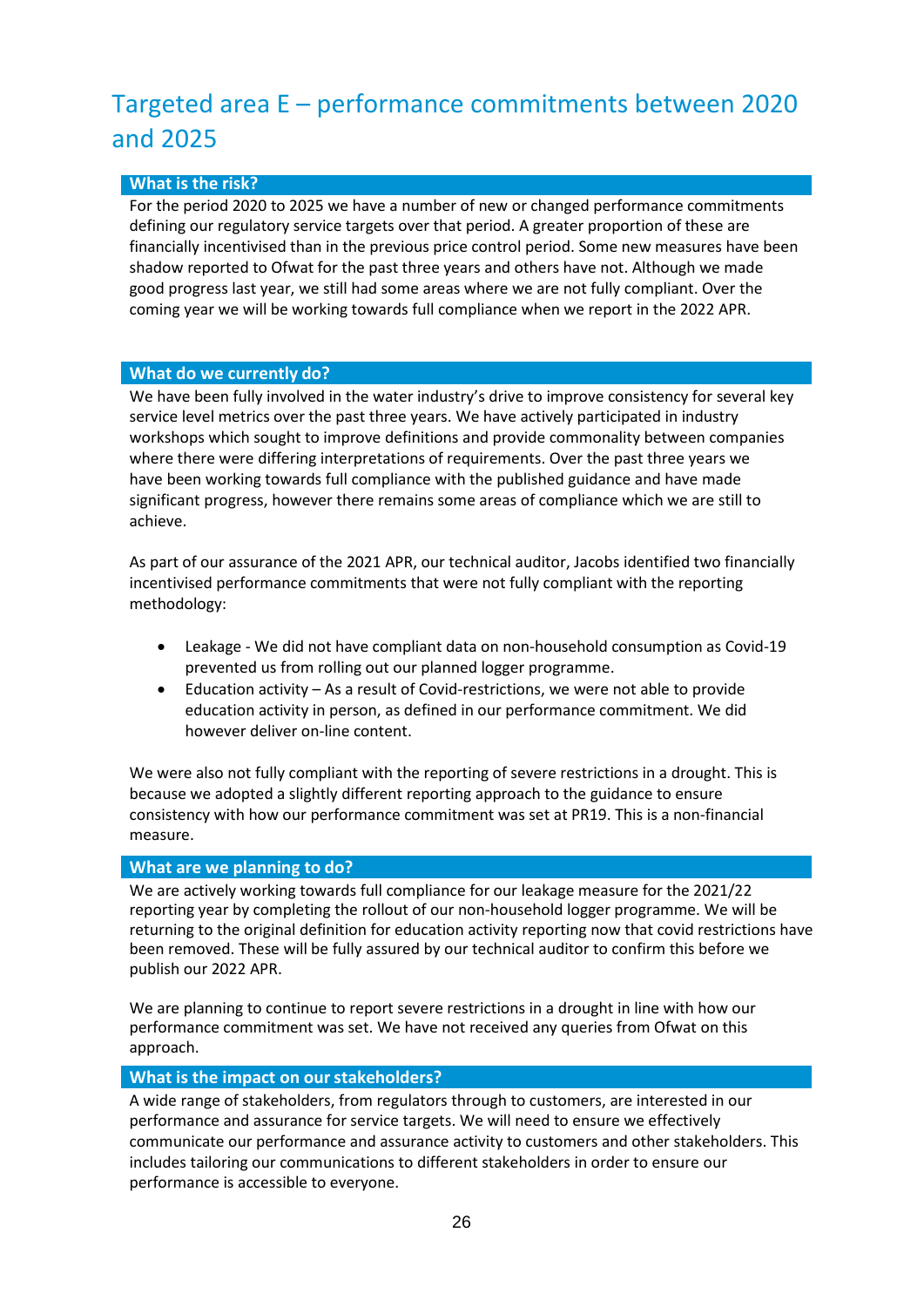# <span id="page-22-0"></span>Targeted area E – performance commitments between 2020 and 2025

### **What is the risk?**

For the period 2020 to 2025 we have a number of new or changed performance commitments defining our regulatory service targets over that period. A greater proportion of these are financially incentivised than in the previous price control period. Some new measures have been shadow reported to Ofwat for the past three years and others have not. Although we made good progress last year, we still had some areas where we are not fully compliant. Over the coming year we will be working towards full compliance when we report in the 2022 APR.

#### **What do we currently do?**

We have been fully involved in the water industry's drive to improve consistency for several key service level metrics over the past three years. We have actively participated in industry workshops which sought to improve definitions and provide commonality between companies where there were differing interpretations of requirements. Over the past three years we have been working towards full compliance with the published guidance and have made significant progress, however there remains some areas of compliance which we are still to achieve.

As part of our assurance of the 2021 APR, our technical auditor, Jacobs identified two financially incentivised performance commitments that were not fully compliant with the reporting methodology:

- Leakage We did not have compliant data on non-household consumption as Covid-19 prevented us from rolling out our planned logger programme.
- Education activity As a result of Covid-restrictions, we were not able to provide education activity in person, as defined in our performance commitment. We did however deliver on-line content.

We were also not fully compliant with the reporting of severe restrictions in a drought. This is because we adopted a slightly different reporting approach to the guidance to ensure consistency with how our performance commitment was set at PR19. This is a non-financial measure.

#### **What are we planning to do?**

We are actively working towards full compliance for our leakage measure for the 2021/22 reporting year by completing the rollout of our non-household logger programme. We will be returning to the original definition for education activity reporting now that covid restrictions have been removed. These will be fully assured by our technical auditor to confirm this before we publish our 2022 APR.

We are planning to continue to report severe restrictions in a drought in line with how our performance commitment was set. We have not received any queries from Ofwat on this approach.

#### **What is the impact on ourstakeholders?**

A wide range of stakeholders, from regulators through to customers, are interested in our performance and assurance for service targets. We will need to ensure we effectively communicate our performance and assurance activity to customers and other stakeholders. This includes tailoring our communications to different stakeholders in order to ensure our performance is accessible to everyone.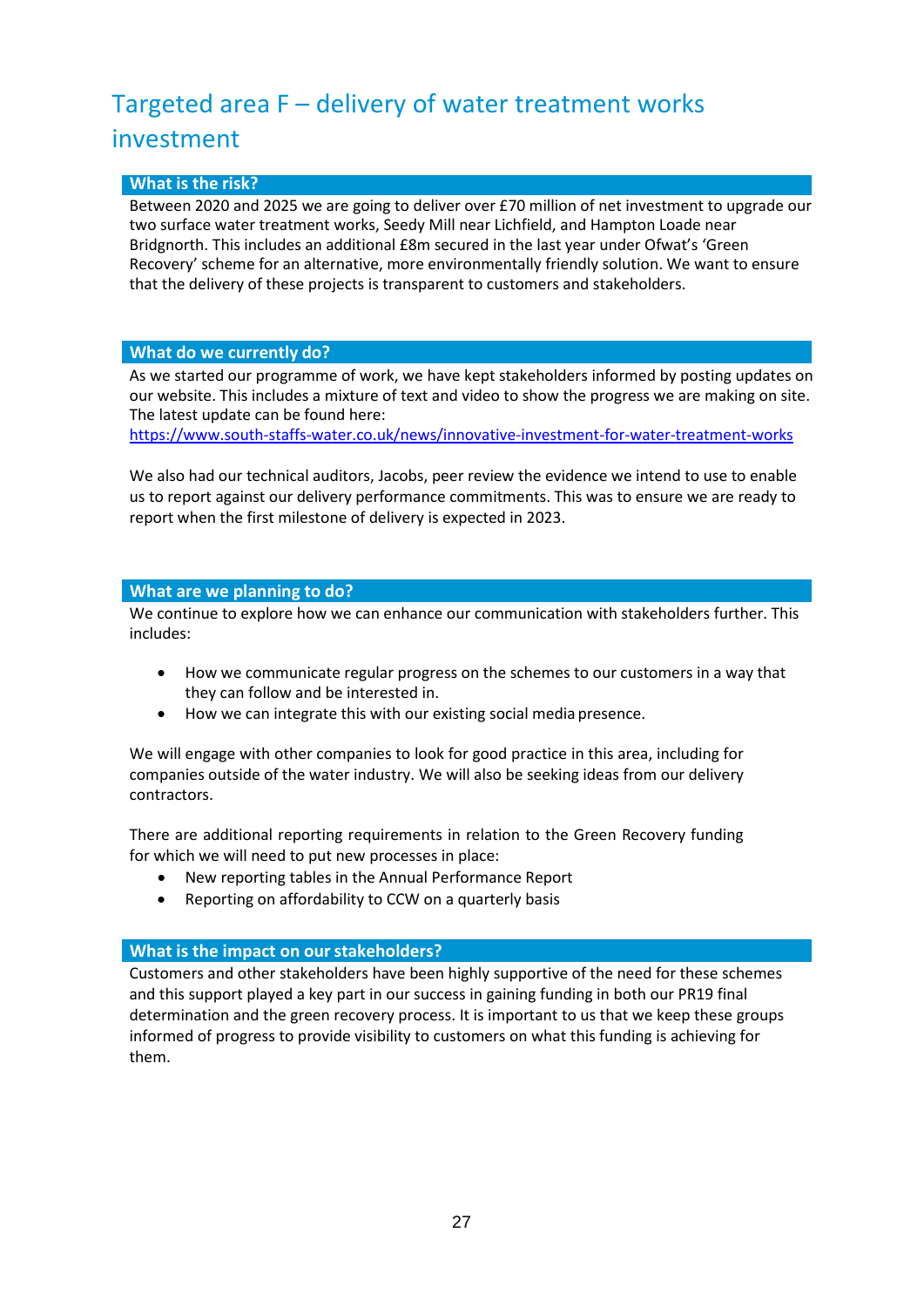# <span id="page-23-0"></span>Targeted area F – delivery of water treatment works investment

#### **What is the risk?**

Between 2020 and 2025 we are going to deliver over £70 million of net investment to upgrade our two surface water treatment works, Seedy Mill near Lichfield, and Hampton Loade near Bridgnorth. This includes an additional £8m secured in the last year under Ofwat's 'Green Recovery' scheme for an alternative, more environmentally friendly solution. We want to ensure that the delivery of these projects is transparent to customers and stakeholders.

#### **What do we currently do?**

As we started our programme of work, we have kept stakeholders informed by posting updates on our website. This includes a mixture of text and video to show the progress we are making on site. The latest update can be found here:

<https://www.south-staffs-water.co.uk/news/innovative-investment-for-water-treatment-works>

We also had our technical auditors, Jacobs, peer review the evidence we intend to use to enable us to report against our delivery performance commitments. This was to ensure we are ready to report when the first milestone of delivery is expected in 2023.

#### **What are we planning to do?**

We continue to explore how we can enhance our communication with stakeholders further. This includes:

- How we communicate regular progress on the schemes to our customers in a way that they can follow and be interested in.
- How we can integrate this with our existing social media presence.

We will engage with other companies to look for good practice in this area, including for companies outside of the water industry. We will also be seeking ideas from our delivery contractors.

There are additional reporting requirements in relation to the Green Recovery funding for which we will need to put new processes in place:

- New reporting tables in the Annual Performance Report
- Reporting on affordability to CCW on a quarterly basis

#### **What is the impact on ourstakeholders?**

Customers and other stakeholders have been highly supportive of the need for these schemes and this support played a key part in our success in gaining funding in both our PR19 final determination and the green recovery process. It is important to us that we keep these groups informed of progress to provide visibility to customers on what this funding is achieving for them.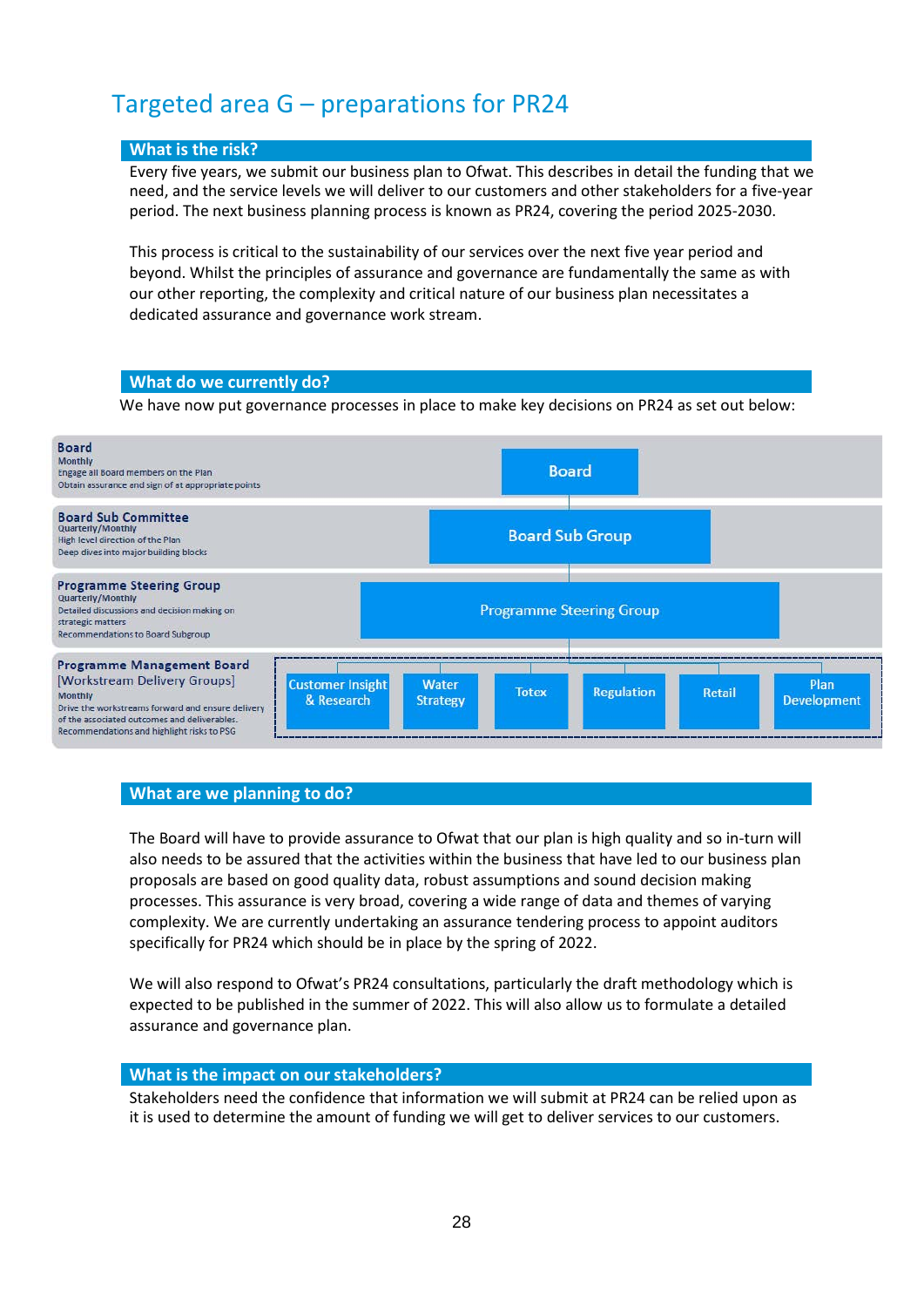### <span id="page-24-0"></span>Targeted area G – preparations for PR24

#### **What is the risk?**

Every five years, we submit our business plan to Ofwat. This describes in detail the funding that we need, and the service levels we will deliver to our customers and other stakeholders for a five-year period. The next business planning process is known as PR24, covering the period 2025-2030.

This process is critical to the sustainability of our services over the next five year period and beyond. Whilst the principles of assurance and governance are fundamentally the same as with our other reporting, the complexity and critical nature of our business plan necessitates a dedicated assurance and governance work stream.

#### **What do we currently do?**

We have now put governance processes in place to make key decisions on PR24 as set out below:



#### **What are we planning to do?**

The Board will have to provide assurance to Ofwat that our plan is high quality and so in-turn will also needs to be assured that the activities within the business that have led to our business plan proposals are based on good quality data, robust assumptions and sound decision making processes. This assurance is very broad, covering a wide range of data and themes of varying complexity. We are currently undertaking an assurance tendering process to appoint auditors specifically for PR24 which should be in place by the spring of 2022.

We will also respond to Ofwat's PR24 consultations, particularly the draft methodology which is expected to be published in the summer of 2022. This will also allow us to formulate a detailed assurance and governance plan.

#### **What is the impact on ourstakeholders?**

Stakeholders need the confidence that information we will submit at PR24 can be relied upon as it is used to determine the amount of funding we will get to deliver services to our customers.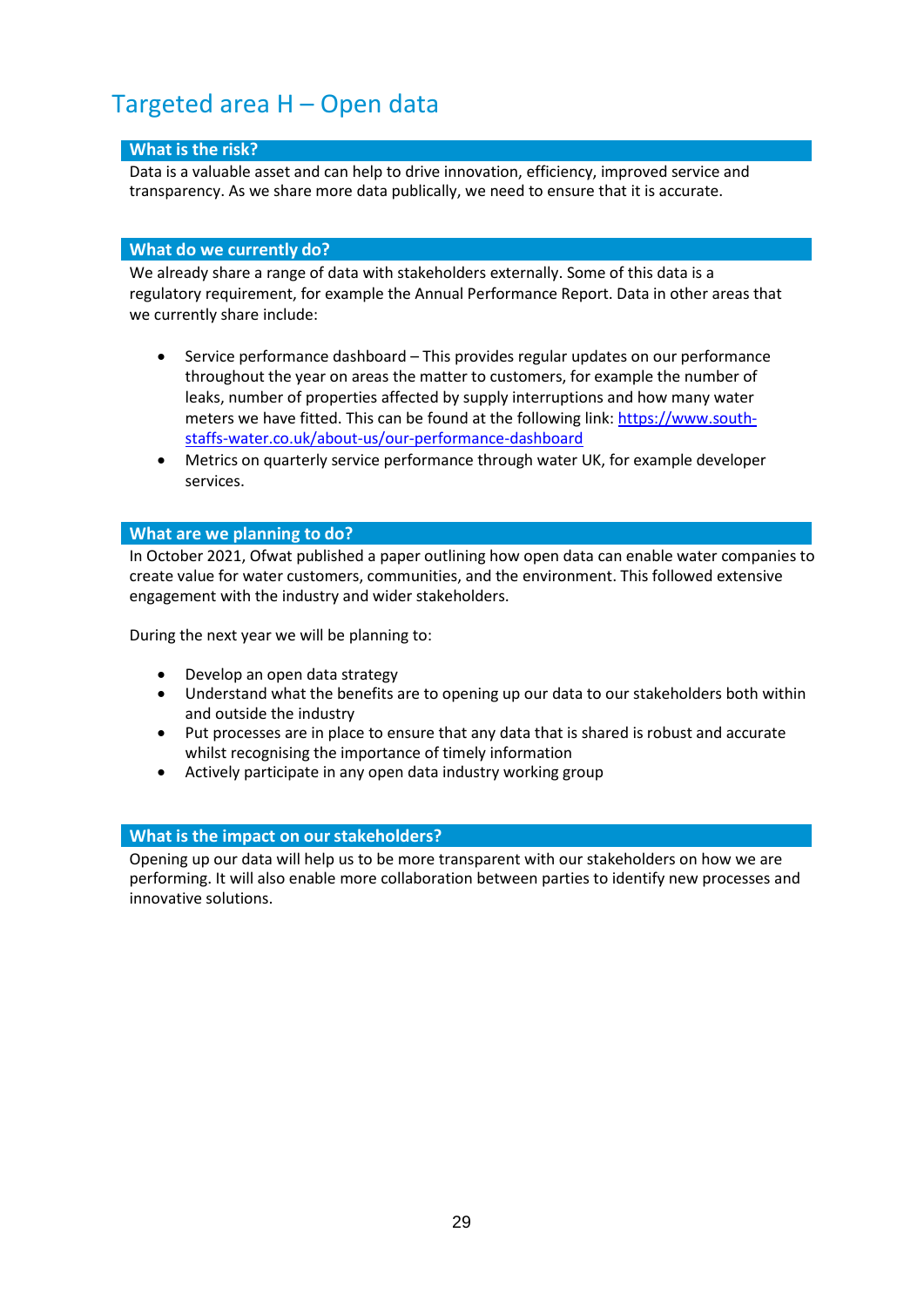## <span id="page-25-0"></span>Targeted area H – Open data

#### **What is the risk?**

Data is a valuable asset and can help to drive innovation, efficiency, improved service and transparency. As we share more data publically, we need to ensure that it is accurate.

#### **What do we currently do?**

We already share a range of data with stakeholders externally. Some of this data is a regulatory requirement, for example the Annual Performance Report. Data in other areas that we currently share include:

- Service performance dashboard This provides regular updates on our performance throughout the year on areas the matter to customers, for example the number of leaks, number of properties affected by supply interruptions and how many water meters we have fitted. This can be found at the following link: [https://www.south](https://www.south-staffs-water.co.uk/about-us/our-performance-dashboard)[staffs-water.co.uk/about-us/our-performance-dashboard](https://www.south-staffs-water.co.uk/about-us/our-performance-dashboard)
- Metrics on quarterly service performance through water UK, for example developer services.

#### **What are we planning to do?**

In October 2021, Ofwat published a paper outlining how open data can enable water companies to create value for water customers, communities, and the environment. This followed extensive engagement with the industry and wider stakeholders.

During the next year we will be planning to:

- Develop an open data strategy
- Understand what the benefits are to opening up our data to our stakeholders both within and outside the industry
- Put processes are in place to ensure that any data that is shared is robust and accurate whilst recognising the importance of timely information
- Actively participate in any open data industry working group

#### **What is the impact on ourstakeholders?**

Opening up our data will help us to be more transparent with our stakeholders on how we are performing. It will also enable more collaboration between parties to identify new processes and innovative solutions.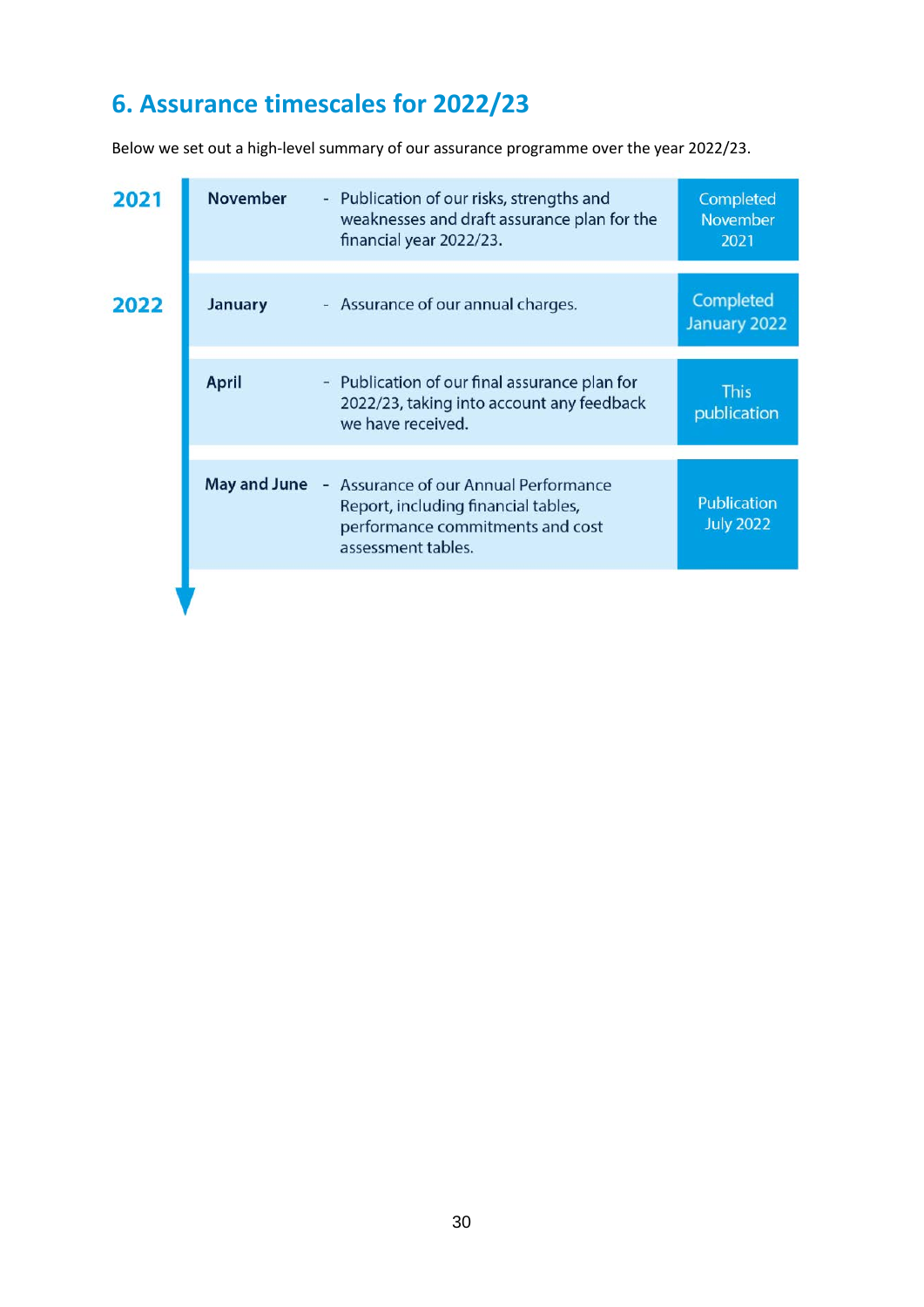# <span id="page-26-0"></span>**6. Assurance timescales for 2022/23**

Below we set out a high-level summary of our assurance programme over the year 2022/23.

| 2021 | <b>November</b>     | - Publication of our risks, strengths and<br>weaknesses and draft assurance plan for the<br>financial year 2022/23.                    | Completed<br>November<br>2021   |
|------|---------------------|----------------------------------------------------------------------------------------------------------------------------------------|---------------------------------|
| 2022 | <b>January</b>      | - Assurance of our annual charges.                                                                                                     | Completed<br>January 2022       |
|      | <b>April</b>        | - Publication of our final assurance plan for<br>2022/23, taking into account any feedback<br>we have received.                        | <b>This</b><br>publication      |
|      | <b>May and June</b> | - Assurance of our Annual Performance<br>Report, including financial tables,<br>performance commitments and cost<br>assessment tables. | Publication<br><b>July 2022</b> |
|      |                     |                                                                                                                                        |                                 |